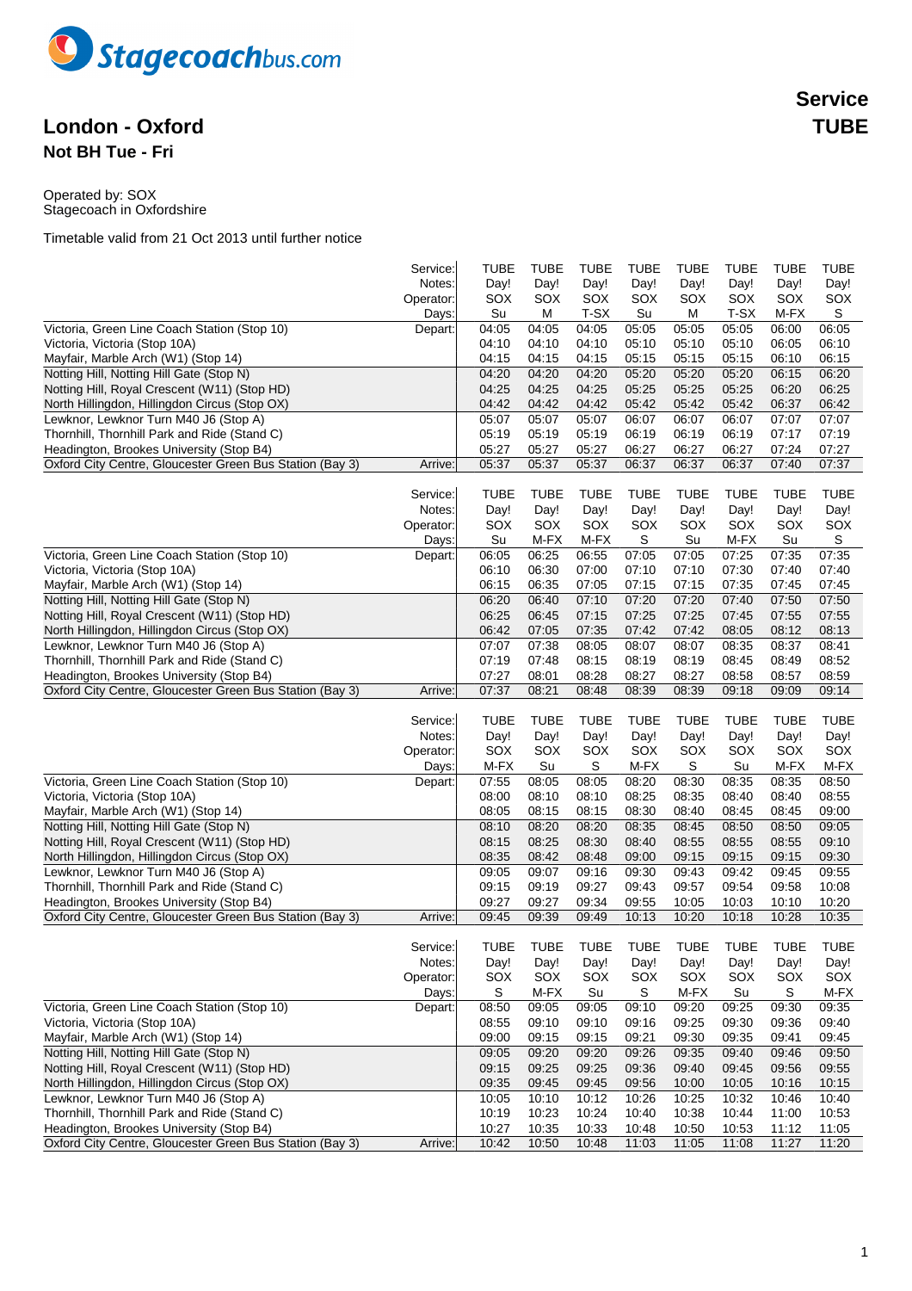

## **London - Oxford TUBE Not BH Tue - Fri**

Operated by: SOX Stagecoach in Oxfordshire

|                                                          | Service:  | <b>TUBE</b> | <b>TUBE</b> | <b>TUBE</b> | <b>TUBE</b> | <b>TUBE</b> | TUBE  | <b>TUBE</b> | <b>TUBE</b> |
|----------------------------------------------------------|-----------|-------------|-------------|-------------|-------------|-------------|-------|-------------|-------------|
|                                                          | Notes:    | Day!        | Day!        | Day!        | Day!        | Day!        | Day!  | Day!        | Day!        |
|                                                          | Operator: | SOX         | SOX         | SOX         | SOX         | SOX         | SOX   | SOX         | SOX         |
|                                                          | Days:     | Su          | м           | T-SX        | Su          | M           | T-SX  | M-FX        | S           |
| Victoria, Green Line Coach Station (Stop 10)             | Depart:   | 04:05       | 04:05       | 04:05       | 05:05       | 05:05       | 05:05 | 06:00       | 06:05       |
| Victoria, Victoria (Stop 10A)                            |           | 04:10       | 04:10       | 04:10       | 05:10       | 05:10       | 05:10 | 06:05       | 06:10       |
| Mayfair, Marble Arch (W1) (Stop 14)                      |           | 04:15       | 04:15       | 04:15       | 05:15       | 05:15       | 05:15 | 06:10       | 06:15       |
| Notting Hill, Notting Hill Gate (Stop N)                 |           | 04:20       | 04:20       | 04:20       | 05:20       | 05:20       | 05:20 | 06:15       | 06:20       |
| Notting Hill, Royal Crescent (W11) (Stop HD)             |           | 04:25       | 04:25       | 04:25       | 05:25       | 05:25       | 05:25 | 06:20       | 06:25       |
| North Hillingdon, Hillingdon Circus (Stop OX)            |           | 04:42       | 04:42       | 04:42       | 05:42       | 05:42       | 05:42 | 06:37       | 06:42       |
| Lewknor, Lewknor Turn M40 J6 (Stop A)                    |           | 05:07       | 05:07       | 05:07       | 06:07       | 06:07       | 06:07 | 07:07       | 07:07       |
| Thornhill, Thornhill Park and Ride (Stand C)             |           | 05:19       | 05:19       | 05:19       | 06:19       | 06:19       | 06:19 | 07:17       | 07:19       |
| Headington, Brookes University (Stop B4)                 |           | 05:27       | 05:27       | 05:27       | 06:27       | 06:27       | 06:27 | 07:24       | 07:27       |
| Oxford City Centre, Gloucester Green Bus Station (Bay 3) | Arrive:   | 05:37       | 05:37       | 05:37       | 06:37       | 06:37       | 06:37 | 07:40       | 07:37       |
|                                                          |           |             |             |             |             |             |       |             |             |
|                                                          | Service:  | <b>TUBE</b> | <b>TUBE</b> | <b>TUBE</b> | <b>TUBE</b> | <b>TUBE</b> | TUBE  | <b>TUBE</b> | <b>TUBE</b> |
|                                                          | Notes:    | Day!        | Day!        | Day!        | Day!        | Day!        | Day!  | Day!        | Day!        |
|                                                          | Operator: | SOX         | SOX         | SOX         | SOX         | SOX         | SOX   | SOX         | SOX         |
|                                                          | Days:     | Su          | M-FX        | M-FX        | S           | Su          | M-FX  | Su          | S           |
| Victoria, Green Line Coach Station (Stop 10)             | Depart:   | 06:05       | 06:25       | 06:55       | 07:05       | 07:05       | 07:25 | 07:35       | 07:35       |
| Victoria, Victoria (Stop 10A)                            |           | 06:10       | 06:30       | 07:00       | 07:10       | 07:10       | 07:30 | 07:40       | 07:40       |
| Mayfair, Marble Arch (W1) (Stop 14)                      |           | 06:15       | 06:35       | 07:05       | 07:15       | 07:15       | 07:35 | 07:45       | 07:45       |
| Notting Hill, Notting Hill Gate (Stop N)                 |           | 06:20       | 06:40       | 07:10       | 07:20       | 07:20       | 07:40 | 07:50       | 07:50       |
| Notting Hill, Royal Crescent (W11) (Stop HD)             |           | 06:25       | 06:45       | 07:15       | 07:25       | 07:25       | 07:45 | 07:55       | 07:55       |
| North Hillingdon, Hillingdon Circus (Stop OX)            |           | 06:42       | 07:05       | 07:35       | 07:42       | 07:42       | 08:05 | 08:12       | 08:13       |
| Lewknor, Lewknor Turn M40 J6 (Stop A)                    |           | 07:07       | 07:38       | 08:05       | 08:07       | 08:07       | 08:35 | 08:37       | 08:41       |
| Thornhill, Thornhill Park and Ride (Stand C)             |           | 07:19       | 07:48       | 08:15       | 08:19       | 08:19       | 08:45 | 08:49       | 08:52       |
| Headington, Brookes University (Stop B4)                 |           | 07:27       | 08:01       | 08:28       | 08:27       | 08:27       | 08:58 | 08:57       | 08:59       |
| Oxford City Centre, Gloucester Green Bus Station (Bay 3) | Arrive:   | 07:37       | 08:21       | 08:48       | 08:39       | 08:39       | 09:18 | 09:09       | 09:14       |
|                                                          |           |             |             |             |             |             |       |             |             |
|                                                          |           |             |             |             |             |             |       |             |             |
|                                                          | Service:  | <b>TUBE</b> | <b>TUBE</b> | <b>TUBE</b> | <b>TUBE</b> | <b>TUBE</b> | TUBE  | <b>TUBE</b> | <b>TUBE</b> |
|                                                          | Notes:    | Day!        | Day!        | Day!        | Day!        | Day!        | Day!  | Day!        | Day!        |
|                                                          | Operator: | SOX         | SOX         | SOX         | SOX         | SOX         | SOX   | SOX         | SOX         |
|                                                          | Days:     | M-FX        | Su          | S           | M-FX        | S           | Su    | M-FX        | M-FX        |
| Victoria, Green Line Coach Station (Stop 10)             | Depart:   | 07:55       | 08:05       | 08:05       | 08:20       | 08:30       | 08:35 | 08:35       | 08:50       |
| Victoria, Victoria (Stop 10A)                            |           | 08:00       | 08:10       | 08:10       | 08:25       | 08:35       | 08:40 | 08:40       | 08:55       |
| Mayfair, Marble Arch (W1) (Stop 14)                      |           | 08:05       | 08:15       | 08:15       | 08:30       | 08:40       | 08:45 | 08:45       | 09:00       |
| Notting Hill, Notting Hill Gate (Stop N)                 |           | 08:10       | 08:20       | 08:20       | 08:35       | 08:45       | 08:50 | 08:50       | 09:05       |
| Notting Hill, Royal Crescent (W11) (Stop HD)             |           | 08:15       | 08:25       | 08:30       | 08:40       | 08:55       | 08:55 | 08:55       | 09:10       |
| North Hillingdon, Hillingdon Circus (Stop OX)            |           | 08:35       | 08:42       | 08:48       | 09:00       | 09:15       | 09:15 | 09:15       | 09:30       |
| Lewknor, Lewknor Turn M40 J6 (Stop A)                    |           | 09:05       | 09:07       | 09:16       | 09:30       | 09:43       | 09:42 | 09:45       | 09:55       |
| Thornhill, Thornhill Park and Ride (Stand C)             |           | 09:15       | 09:19       | 09:27       | 09:43       | 09:57       | 09:54 | 09:58       | 10:08       |
| Headington, Brookes University (Stop B4)                 |           | 09:27       | 09:27       | 09:34       | 09:55       | 10:05       | 10:03 | 10:10       | 10:20       |
| Oxford City Centre, Gloucester Green Bus Station (Bay 3) | Arrive:   | 09:45       | 09:39       | 09:49       | 10:13       | 10:20       | 10:18 | 10:28       | 10:35       |
|                                                          |           |             |             |             |             |             |       |             |             |
|                                                          | Service:  | <b>TUBE</b> | <b>TUBE</b> | <b>TUBE</b> | <b>TUBE</b> | TUBE        | TUBE  | <b>TUBE</b> | <b>TUBE</b> |
|                                                          | Notes:    | Day!        | Day!        | Day!        | Day!        | Day!        | Day!  | Day!        | Day!        |
|                                                          | Operator: | SOX         | SOX         | SOX         | SOX         | SOX         | SOX   | SOX         | SOX         |
|                                                          | Days:     | S           | M-FX        | Su          | S           | M-FX        | Su    | S           | M-FX        |
| Victoria, Green Line Coach Station (Stop 10)             | Depart:   | 08:50       | 09:05       | 09:05       | 09:10       | 09:20       | 09:25 | 09:30       | 09:35       |
| Victoria, Victoria (Stop 10A)                            |           | 08:55       | 09:10       | 09:10       | 09:16       | 09:25       | 09:30 | 09:36       | 09:40       |
| Mayfair, Marble Arch (W1) (Stop 14)                      |           | 09:00       | 09:15       | 09:15       | 09:21       | 09:30       | 09:35 | 09:41       | 09:45       |
| Notting Hill, Notting Hill Gate (Stop N)                 |           | 09:05       | 09:20       | 09:20       | 09:26       | 09:35       | 09:40 | 09:46       | 09:50       |
| Notting Hill, Royal Crescent (W11) (Stop HD)             |           | 09:15       | 09:25       | 09:25       | 09:36       | 09:40       | 09:45 | 09:56       | 09:55       |
| North Hillingdon, Hillingdon Circus (Stop OX)            |           | 09:35       | 09:45       | 09:45       | 09:56       | 10:00       | 10:05 | 10:16       | 10:15       |
| Lewknor, Lewknor Turn M40 J6 (Stop A)                    |           | 10:05       | 10:10       | 10:12       | 10:26       | 10:25       | 10:32 | 10:46       | 10:40       |
| Thornhill, Thornhill Park and Ride (Stand C)             |           | 10:19       | 10:23       | 10:24       | 10:40       | 10:38       | 10:44 | 11:00       | 10:53       |
| Headington, Brookes University (Stop B4)                 |           | 10:27       | 10:35       | 10:33       | 10:48       | 10:50       | 10:53 | 11:12       | 11:05       |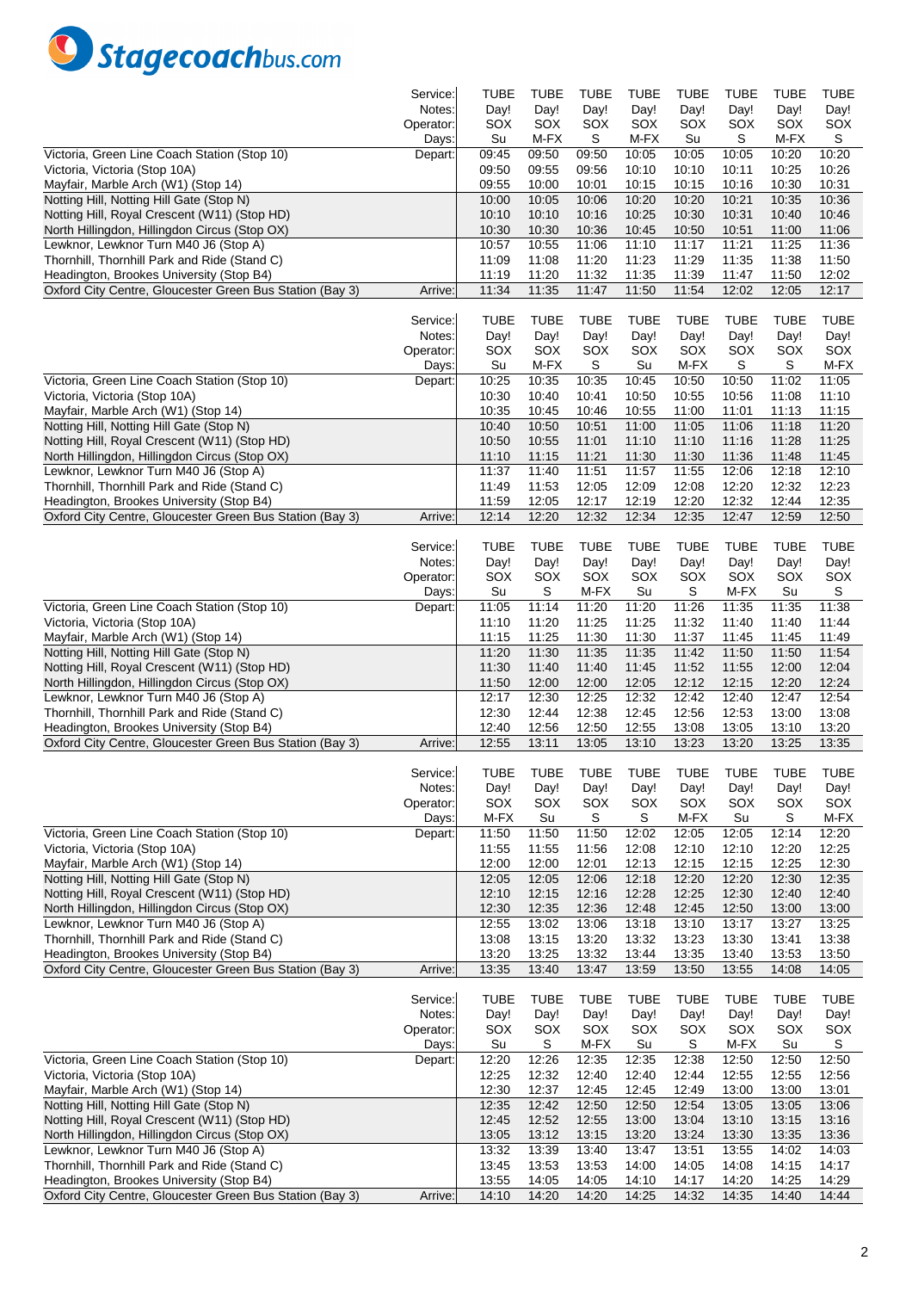

|                                                          | Service:  | TUBE        | <b>TUBE</b> | TUBE        | <b>TUBE</b> | TUBE        | TUBE        | <b>TUBE</b> | TUBE        |
|----------------------------------------------------------|-----------|-------------|-------------|-------------|-------------|-------------|-------------|-------------|-------------|
|                                                          | Notes:    | Day!        | Day!        | Day!        | Day!        | Day!        | Day!        | Day!        | Day!        |
|                                                          | Operator: | SOX         | SOX         | SOX         | SOX         | SOX         | SOX         | SOX         | SOX         |
|                                                          | Days:     | Su          | M-FX        | S           | M-FX        | Su          | S           | M-FX        | S           |
| Victoria, Green Line Coach Station (Stop 10)             | Depart:   | 09:45       | 09:50       | 09:50       | 10:05       | 10:05       | 10:05       | 10:20       | 10:20       |
| Victoria, Victoria (Stop 10A)                            |           | 09:50       | 09:55       | 09:56       | 10:10       | 10:10       | 10:11       | 10:25       | 10:26       |
| Mayfair, Marble Arch (W1) (Stop 14)                      |           | 09:55       | 10:00       | 10:01       | 10:15       | 10:15       | 10:16       | 10:30       | 10:31       |
| Notting Hill, Notting Hill Gate (Stop N)                 |           | 10:00       | 10:05       | 10:06       | 10:20       | 10:20       | 10:21       | 10:35       | 10:36       |
| Notting Hill, Royal Crescent (W11) (Stop HD)             |           | 10:10       | 10:10       | 10:16       | 10:25       | 10:30       | 10:31       | 10:40       | 10:46       |
| North Hillingdon, Hillingdon Circus (Stop OX)            |           | 10:30       | 10:30       | 10:36       | 10:45       | 10:50       | 10:51       | 11:00       | 11:06       |
| Lewknor, Lewknor Turn M40 J6 (Stop A)                    |           | 10:57       | 10:55       | 11:06       | 11:10       | 11:17       | 11:21       | 11:25       | 11:36       |
|                                                          |           |             |             |             |             |             |             |             |             |
| Thornhill, Thornhill Park and Ride (Stand C)             |           | 11:09       | 11:08       | 11:20       | 11:23       | 11:29       | 11:35       | 11:38       | 11:50       |
| Headington, Brookes University (Stop B4)                 |           | 11:19       | 11:20       | 11:32       | 11:35       | 11:39       | 11:47       | 11:50       | 12:02       |
| Oxford City Centre, Gloucester Green Bus Station (Bay 3) | Arrive:   | 11:34       | 11:35       | 11:47       | 11:50       | 11:54       | 12:02       | 12:05       | 12:17       |
|                                                          |           |             |             |             |             |             |             |             |             |
|                                                          | Service:  | <b>TUBE</b> | <b>TUBE</b> | TUBE        | <b>TUBE</b> | <b>TUBE</b> | TUBE        | <b>TUBE</b> | <b>TUBE</b> |
|                                                          | Notes:    | Day!        | Day!        | Day!        | Day!        | Day!        | Day!        | Day!        | Day!        |
|                                                          | Operator: | SOX         | SOX         | SOX         | SOX         | SOX         | SOX         | SOX         | SOX         |
|                                                          | Days:     | Su          | M-FX        | S           | Su          | M-FX        | S           | S           | M-FX        |
| Victoria, Green Line Coach Station (Stop 10)             | Depart:   | 10:25       | 10:35       | 10:35       | 10:45       | 10:50       | 10:50       | 11:02       | 11:05       |
| Victoria, Victoria (Stop 10A)                            |           | 10:30       | 10:40       | 10:41       | 10:50       | 10:55       | 10:56       | 11:08       | 11:10       |
| Mayfair, Marble Arch (W1) (Stop 14)                      |           | 10:35       | 10:45       | 10:46       | 10:55       | 11:00       | 11:01       | 11:13       | 11:15       |
| Notting Hill, Notting Hill Gate (Stop N)                 |           | 10:40       | 10:50       | 10:51       | 11:00       | 11:05       | 11:06       | 11:18       | 11:20       |
| Notting Hill, Royal Crescent (W11) (Stop HD)             |           | 10:50       | 10:55       | 11:01       | 11:10       | 11:10       | 11:16       | 11:28       | 11:25       |
| North Hillingdon, Hillingdon Circus (Stop OX)            |           | 11:10       | 11:15       | 11:21       | 11:30       | 11:30       | 11:36       | 11:48       | 11:45       |
| Lewknor, Lewknor Turn M40 J6 (Stop A)                    |           | 11:37       | 11:40       | 11:51       | 11:57       | 11:55       | 12:06       | 12:18       | 12:10       |
| Thornhill, Thornhill Park and Ride (Stand C)             |           | 11:49       | 11:53       | 12:05       | 12:09       | 12:08       | 12:20       | 12:32       | 12:23       |
| Headington, Brookes University (Stop B4)                 |           | 11:59       | 12:05       | 12:17       | 12:19       | 12:20       | 12:32       | 12:44       | 12:35       |
| Oxford City Centre, Gloucester Green Bus Station (Bay 3) | Arrive:   | 12:14       | 12:20       | 12:32       | 12:34       | 12:35       | 12:47       | 12:59       | 12:50       |
|                                                          |           |             |             |             |             |             |             |             |             |
|                                                          | Service:  | <b>TUBE</b> | <b>TUBE</b> | <b>TUBE</b> | <b>TUBE</b> | <b>TUBE</b> | TUBE        | <b>TUBE</b> | <b>TUBE</b> |
|                                                          | Notes:    | Day!        | Day!        | Day!        | Day!        | Day!        | Day!        | Day!        | Day!        |
|                                                          |           |             |             |             |             |             |             |             |             |
|                                                          | Operator: | SOX         | SOX         | SOX         | SOX         | SOX         | SOX         | SOX         | SOX         |
|                                                          | Days:     | Su          | S           | M-FX        | Su          | S           | M-FX        | Su          | S           |
| Victoria, Green Line Coach Station (Stop 10)             | Depart:   | 11:05       | 11:14       | 11:20       | 11:20       | 11:26       | 11:35       | 11:35       | 11:38       |
| Victoria, Victoria (Stop 10A)                            |           | 11:10       | 11:20       | 11:25       | 11:25       | 11:32       | 11:40       | 11:40       | 11:44       |
| Mayfair, Marble Arch (W1) (Stop 14)                      |           | 11:15       | 11:25       | 11:30       | 11:30       | 11:37       | 11:45       | 11:45       | 11:49       |
| Notting Hill, Notting Hill Gate (Stop N)                 |           | 11:20       | 11:30       | 11:35       | 11:35       | 11:42       | 11:50       | 11:50       | 11:54       |
| Notting Hill, Royal Crescent (W11) (Stop HD)             |           | 11:30       | 11:40       | 11:40       | 11:45       | 11:52       | 11:55       | 12:00       | 12:04       |
| North Hillingdon, Hillingdon Circus (Stop OX)            |           | 11:50       | 12:00       | 12:00       | 12:05       | 12:12       | 12:15       | 12:20       | 12:24       |
| Lewknor, Lewknor Turn M40 J6 (Stop A)                    |           | 12:17       | 12:30       | 12:25       | 12:32       | 12:42       | 12:40       | 12:47       | 12:54       |
| Thornhill, Thornhill Park and Ride (Stand C)             |           | 12:30       | 12:44       | 12:38       | 12:45       | 12:56       | 12:53       | 13:00       | 13:08       |
| Headington, Brookes University (Stop B4)                 |           | 12:40       | 12:56       | 12:50       | 12:55       | 13:08       | 13:05       | 13:10       | 13:20       |
| Oxford City Centre, Gloucester Green Bus Station (Bay 3) | Arrive:   | 12:55       | 13:11       | 13:05       | 13:10       | 13:23       | 13:20       | 13:25       | 13:35       |
|                                                          |           |             |             |             |             |             |             |             |             |
|                                                          | Service:  | <b>TUBF</b> | <b>TUBE</b> | <b>TUBE</b> | <b>TUBE</b> | <b>TUBE</b> | <b>TUBE</b> | <b>TUBE</b> | <b>TUBF</b> |
|                                                          | Notes:    | Day!        | Day!        | Day!        | Day!        | Day!        | Day!        | Day!        | Day!        |
|                                                          | Operator: | SOX         | SOX         | SOX         | SOX         | SOX         | SOX         | SOX         | SOX         |
|                                                          | Days:     | M-FX        | Su          | S           | S           | M-FX        | Su          | S           | $M-FX$      |
| Victoria, Green Line Coach Station (Stop 10)             | Depart:   | 11:50       | 11:50       | 11:50       | 12:02       | 12:05       | 12:05       | 12:14       | 12:20       |
| Victoria, Victoria (Stop 10A)                            |           | 11:55       | 11:55       | 11:56       | 12:08       | 12:10       | 12:10       | 12:20       | 12:25       |
| Mayfair, Marble Arch (W1) (Stop 14)                      |           | 12:00       | 12:00       | 12:01       | 12:13       | 12:15       | 12:15       | 12:25       | 12:30       |
| Notting Hill, Notting Hill Gate (Stop N)                 |           | 12:05       | 12:05       | 12:06       | 12:18       | 12:20       | 12:20       | 12:30       | 12:35       |
| Notting Hill, Royal Crescent (W11) (Stop HD)             |           | 12:10       | 12:15       | 12:16       | 12:28       | 12:25       | 12:30       | 12:40       | 12:40       |
| North Hillingdon, Hillingdon Circus (Stop OX)            |           | 12:30       | 12:35       | 12:36       | 12:48       | 12:45       | 12:50       | 13:00       | 13:00       |
| Lewknor, Lewknor Turn M40 J6 (Stop A)                    |           | 12:55       | 13:02       | 13:06       | 13:18       | 13:10       | 13:17       | 13:27       | 13:25       |
| Thornhill, Thornhill Park and Ride (Stand C)             |           | 13:08       | 13:15       | 13:20       | 13:32       | 13:23       | 13:30       | 13:41       | 13:38       |
| Headington, Brookes University (Stop B4)                 |           | 13:20       | 13:25       | 13:32       | 13:44       | 13:35       | 13:40       | 13:53       | 13:50       |
| Oxford City Centre, Gloucester Green Bus Station (Bay 3) |           | 13:35       | 13:40       | 13:47       |             | 13:50       | 13:55       | 14:08       | 14:05       |
|                                                          | Arrive:   |             |             |             | 13:59       |             |             |             |             |
|                                                          |           |             |             |             |             |             |             |             |             |
|                                                          | Service:  | <b>TUBE</b> | <b>TUBE</b> | <b>TUBE</b> | <b>TUBE</b> | <b>TUBE</b> | <b>TUBE</b> | <b>TUBE</b> | <b>TUBE</b> |
|                                                          | Notes:    | Day!        | Day!        | Day!        | Day!        | Day!        | Day!        | Day!        | Day!        |
|                                                          | Operator: | SOX         | SOX         | SOX         | SOX         | SOX         | SOX         | SOX         | SOX         |
|                                                          | Days:     | Su          | S           | M-FX        | Su          | S           | M-FX        | Su          | S           |
| Victoria, Green Line Coach Station (Stop 10)             | Depart:   | 12:20       | 12:26       | 12:35       | 12:35       | 12:38       | 12:50       | 12:50       | 12:50       |
| Victoria, Victoria (Stop 10A)                            |           | 12:25       | 12:32       | 12:40       | 12:40       | 12:44       | 12:55       | 12:55       | 12:56       |
| Mayfair, Marble Arch (W1) (Stop 14)                      |           | 12:30       | 12:37       | 12:45       | 12:45       | 12:49       | 13:00       | 13:00       | 13:01       |
| Notting Hill, Notting Hill Gate (Stop N)                 |           | 12:35       | 12:42       | 12:50       | 12:50       | 12:54       | 13:05       | 13:05       | 13:06       |
| Notting Hill, Royal Crescent (W11) (Stop HD)             |           | 12:45       | 12:52       | 12:55       | 13:00       | 13:04       | 13:10       | 13:15       | 13:16       |
| North Hillingdon, Hillingdon Circus (Stop OX)            |           | 13:05       | 13:12       | 13:15       | 13:20       | 13:24       | 13:30       | 13:35       | 13:36       |
| Lewknor, Lewknor Turn M40 J6 (Stop A)                    |           | 13:32       | 13:39       | 13:40       | 13:47       | 13:51       | 13:55       | 14:02       | 14:03       |
| Thornhill, Thornhill Park and Ride (Stand C)             |           | 13:45       | 13:53       | 13:53       | 14:00       | 14:05       | 14:08       | 14:15       | 14:17       |
| Headington, Brookes University (Stop B4)                 |           | 13:55       | 14:05       | 14:05       | 14:10       | 14:17       | 14:20       | 14:25       | 14:29       |
| Oxford City Centre, Gloucester Green Bus Station (Bay 3) | Arrive:   | 14:10       | 14:20       | 14:20       | 14:25       | 14:32       | 14:35       | 14:40       | 14:44       |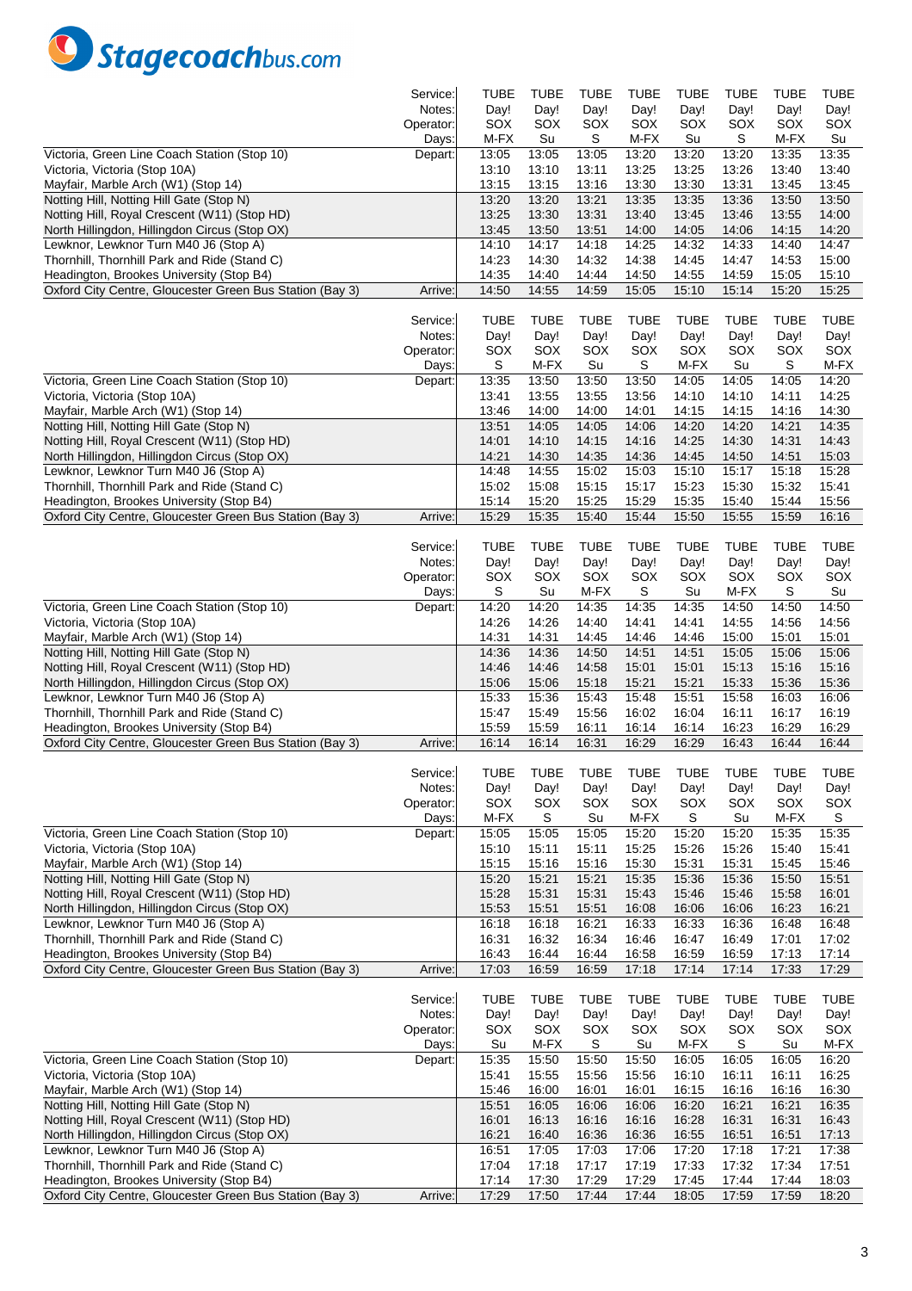

|                                                          | Service:  | TUBE        | <b>TUBE</b> | TUBE        | TUBE        | TUBE        | TUBE        | <b>TUBE</b> | <b>TUBE</b> |
|----------------------------------------------------------|-----------|-------------|-------------|-------------|-------------|-------------|-------------|-------------|-------------|
|                                                          | Notes:    | Day!        | Day!        | Day!        | Day!        | Day!        | Day!        | Day!        | Day!        |
|                                                          | Operator: | SOX         | SOX         | SOX         | SOX         | SOX         | SOX         | SOX         | SOX         |
|                                                          | Days:     | M-FX        | Su          | S           | M-FX        | Su          | S           | M-FX        | Su          |
| Victoria, Green Line Coach Station (Stop 10)             | Depart:   | 13:05       | 13:05       | 13:05       | 13:20       | 13:20       | 13:20       | 13:35       | 13:35       |
| Victoria, Victoria (Stop 10A)                            |           | 13:10       | 13:10       | 13:11       | 13:25       | 13:25       | 13:26       | 13:40       | 13:40       |
| Mayfair, Marble Arch (W1) (Stop 14)                      |           | 13:15       | 13:15       | 13:16       | 13:30       | 13:30       | 13:31       | 13:45       | 13:45       |
| Notting Hill, Notting Hill Gate (Stop N)                 |           | 13:20       | 13:20       | 13:21       | 13:35       | 13:35       | 13:36       | 13:50       | 13:50       |
| Notting Hill, Royal Crescent (W11) (Stop HD)             |           | 13:25       | 13:30       | 13:31       | 13:40       | 13:45       | 13:46       | 13:55       | 14:00       |
| North Hillingdon, Hillingdon Circus (Stop OX)            |           | 13:45       | 13:50       | 13:51       | 14:00       | 14:05       | 14:06       | 14:15       | 14:20       |
| Lewknor, Lewknor Turn M40 J6 (Stop A)                    |           | 14:10       | 14:17       | 14:18       | 14:25       | 14:32       | 14:33       | 14:40       | 14:47       |
|                                                          |           |             |             |             |             |             |             |             |             |
| Thornhill, Thornhill Park and Ride (Stand C)             |           | 14:23       | 14:30       | 14:32       | 14:38       | 14:45       | 14:47       | 14:53       | 15:00       |
| Headington, Brookes University (Stop B4)                 |           | 14:35       | 14:40       | 14:44       | 14:50       | 14:55       | 14:59       | 15:05       | 15:10       |
| Oxford City Centre, Gloucester Green Bus Station (Bay 3) | Arrive:   | 14:50       | 14:55       | 14:59       | 15:05       | 15:10       | 15:14       | 15:20       | 15:25       |
|                                                          |           |             |             |             |             |             |             |             |             |
|                                                          | Service:  | <b>TUBE</b> | <b>TUBE</b> | TUBE        | <b>TUBE</b> | <b>TUBE</b> | TUBE        | <b>TUBE</b> | <b>TUBE</b> |
|                                                          | Notes:    | Day!        | Day!        | Day!        | Day!        | Day!        | Day!        | Day!        | Day!        |
|                                                          | Operator: | SOX         | SOX         | SOX         | SOX         | SOX         | SOX         | SOX         | SOX         |
|                                                          | Days:     | S           | M-FX        | Su          | S           | M-FX        | Su          | S           | M-FX        |
| Victoria, Green Line Coach Station (Stop 10)             | Depart:   | 13:35       | 13:50       | 13:50       | 13:50       | 14:05       | 14:05       | 14:05       | 14:20       |
| Victoria, Victoria (Stop 10A)                            |           | 13:41       | 13:55       | 13:55       | 13:56       | 14:10       | 14:10       | 14:11       | 14:25       |
| Mayfair, Marble Arch (W1) (Stop 14)                      |           | 13:46       | 14:00       | 14:00       | 14:01       | 14:15       | 14:15       | 14:16       | 14:30       |
| Notting Hill, Notting Hill Gate (Stop N)                 |           | 13:51       | 14:05       | 14:05       | 14:06       | 14:20       | 14:20       | 14:21       | 14:35       |
| Notting Hill, Royal Crescent (W11) (Stop HD)             |           | 14:01       | 14:10       | 14:15       | 14:16       | 14:25       | 14:30       | 14:31       | 14:43       |
| North Hillingdon, Hillingdon Circus (Stop OX)            |           | 14:21       | 14:30       | 14:35       | 14:36       | 14:45       | 14:50       | 14:51       | 15:03       |
| Lewknor, Lewknor Turn M40 J6 (Stop A)                    |           | 14:48       | 14:55       | 15:02       | 15:03       | 15:10       | 15:17       | 15:18       | 15:28       |
| Thornhill, Thornhill Park and Ride (Stand C)             |           | 15:02       | 15:08       | 15:15       | 15:17       | 15:23       | 15:30       | 15:32       | 15:41       |
| Headington, Brookes University (Stop B4)                 |           | 15:14       | 15:20       | 15:25       | 15:29       | 15:35       | 15:40       | 15:44       | 15:56       |
| Oxford City Centre, Gloucester Green Bus Station (Bay 3) | Arrive:   | 15:29       | 15:35       | 15:40       | 15:44       | 15:50       | 15:55       | 15:59       | 16:16       |
|                                                          |           |             |             |             |             |             |             |             |             |
|                                                          | Service:  | <b>TUBE</b> | <b>TUBE</b> | <b>TUBE</b> | <b>TUBE</b> | <b>TUBE</b> | <b>TUBE</b> | <b>TUBE</b> | <b>TUBE</b> |
|                                                          | Notes:    | Day!        | Day!        | Day!        | Day!        | Day!        | Day!        | Day!        | Day!        |
|                                                          |           |             |             |             |             |             |             |             |             |
|                                                          | Operator: | SOX         | SOX<br>Su   | SOX<br>M-FX | SOX<br>S    | SOX<br>Su   | SOX<br>M-FX | SOX<br>S    | SOX<br>Su   |
|                                                          | Days:     | S           |             |             |             |             |             |             |             |
| Victoria, Green Line Coach Station (Stop 10)             | Depart:   | 14:20       | 14:20       | 14:35       | 14:35       | 14:35       | 14:50       | 14:50       | 14:50       |
| Victoria, Victoria (Stop 10A)                            |           | 14:26       | 14:26       | 14:40       | 14:41       | 14:41       | 14:55       | 14:56       | 14:56       |
| Mayfair, Marble Arch (W1) (Stop 14)                      |           | 14:31       | 14:31       | 14:45       | 14:46       | 14:46       | 15:00       | 15:01       | 15:01       |
| Notting Hill, Notting Hill Gate (Stop N)                 |           | 14:36       | 14:36       | 14:50       | 14:51       | 14:51       | 15:05       | 15:06       | 15:06       |
| Notting Hill, Royal Crescent (W11) (Stop HD)             |           | 14:46       | 14:46       | 14:58       | 15:01       | 15:01       | 15:13       | 15:16       | 15:16       |
| North Hillingdon, Hillingdon Circus (Stop OX)            |           | 15:06       | 15:06       | 15:18       | 15:21       | 15:21       | 15:33       | 15:36       | 15:36       |
| Lewknor, Lewknor Turn M40 J6 (Stop A)                    |           | 15:33       | 15:36       | 15:43       | 15:48       | 15:51       | 15:58       | 16:03       | 16:06       |
| Thornhill, Thornhill Park and Ride (Stand C)             |           | 15:47       | 15:49       | 15:56       | 16:02       | 16:04       | 16:11       | 16:17       | 16:19       |
| Headington, Brookes University (Stop B4)                 |           | 15:59       | 15:59       | 16:11       | 16:14       | 16:14       | 16:23       | 16:29       | 16:29       |
| Oxford City Centre, Gloucester Green Bus Station (Bay 3) | Arrive:   | 16:14       | 16:14       | 16:31       | 16:29       | 16:29       | 16:43       | 16:44       | 16:44       |
|                                                          |           |             |             |             |             |             |             |             |             |
|                                                          | Service:  | <b>TUBE</b> | <b>TUBE</b> | <b>TUBE</b> | <b>TUBE</b> | <b>TUBE</b> | <b>TUBE</b> | <b>TUBE</b> | <b>TUBF</b> |
|                                                          | Notes:    | Day!        | Day!        | Day!        | Day!        | Day!        | Day!        | Day!        | Day!        |
|                                                          | Operator: | SOX         | SOX         | SOX         | SOX         | SOX         | SOX         | SOX         | SOX         |
|                                                          | Days:     | M-FX        | S           | Su          | M-FX        | S           | Su          | M-FX        | S           |
| Victoria, Green Line Coach Station (Stop 10)             | Depart:   | 15:05       | 15:05       | 15:05       | 15:20       | 15:20       | 15:20       | 15:35       | 15:35       |
| Victoria, Victoria (Stop 10A)                            |           | 15:10       | 15:11       | 15:11       | 15:25       | 15:26       | 15:26       | 15:40       | 15:41       |
| Mayfair, Marble Arch (W1) (Stop 14)                      |           | 15:15       | 15:16       | 15:16       | 15:30       | 15:31       | 15:31       | 15:45       | 15:46       |
| Notting Hill, Notting Hill Gate (Stop N)                 |           | 15:20       | 15:21       | 15:21       | 15:35       | 15:36       | 15:36       | 15:50       | 15:51       |
| Notting Hill, Royal Crescent (W11) (Stop HD)             |           | 15:28       | 15:31       | 15:31       | 15:43       | 15:46       | 15:46       | 15:58       | 16:01       |
| North Hillingdon, Hillingdon Circus (Stop OX)            |           | 15:53       | 15:51       | 15:51       | 16:08       | 16:06       | 16:06       | 16:23       | 16:21       |
| Lewknor, Lewknor Turn M40 J6 (Stop A)                    |           | 16:18       | 16:18       | 16:21       | 16:33       | 16:33       | 16:36       | 16:48       | 16:48       |
| Thornhill, Thornhill Park and Ride (Stand C)             |           | 16:31       | 16:32       | 16:34       | 16:46       | 16:47       | 16:49       | 17:01       | 17:02       |
| Headington, Brookes University (Stop B4)                 |           | 16:43       | 16:44       | 16:44       | 16:58       | 16:59       | 16:59       | 17:13       | 17:14       |
| Oxford City Centre, Gloucester Green Bus Station (Bay 3) | Arrive:   | 17:03       | 16:59       | 16:59       | 17:18       | 17:14       | 17:14       | 17:33       | 17:29       |
|                                                          |           |             |             |             |             |             |             |             |             |
|                                                          | Service:  | <b>TUBE</b> | <b>TUBE</b> | <b>TUBE</b> | <b>TUBE</b> | <b>TUBE</b> | <b>TUBE</b> | <b>TUBE</b> | <b>TUBE</b> |
|                                                          | Notes:    | Day!        | Day!        | Day!        | Day!        | Day!        | Day!        | Day!        | Day!        |
|                                                          | Operator: | SOX         | SOX         | SOX         | SOX         | SOX         | SOX         | SOX         | SOX         |
|                                                          |           | Su          | M-FX        | S           | Su          | M-FX        | S           | Su          | M-FX        |
| Victoria, Green Line Coach Station (Stop 10)             | Days:     | 15:35       | 15:50       |             | 15:50       |             | 16:05       | 16:05       | 16:20       |
|                                                          | Depart:   |             |             | 15:50       |             | 16:05       |             |             |             |
| Victoria, Victoria (Stop 10A)                            |           | 15:41       | 15:55       | 15:56       | 15:56       | 16:10       | 16:11       | 16:11       | 16:25       |
| Mayfair, Marble Arch (W1) (Stop 14)                      |           | 15:46       | 16:00       | 16:01       | 16:01       | 16:15       | 16:16       | 16:16       | 16:30       |
| Notting Hill, Notting Hill Gate (Stop N)                 |           | 15:51       | 16:05       | 16:06       | 16:06       | 16:20       | 16:21       | 16:21       | 16:35       |
| Notting Hill, Royal Crescent (W11) (Stop HD)             |           | 16:01       | 16:13       | 16:16       | 16:16       | 16:28       | 16:31       | 16:31       | 16:43       |
| North Hillingdon, Hillingdon Circus (Stop OX)            |           | 16:21       | 16:40       | 16:36       | 16:36       | 16:55       | 16:51       | 16:51       | 17:13       |
| Lewknor, Lewknor Turn M40 J6 (Stop A)                    |           | 16:51       | 17:05       | 17:03       | 17:06       | 17:20       | 17:18       | 17:21       | 17:38       |
| Thornhill, Thornhill Park and Ride (Stand C)             |           | 17:04       | 17:18       | 17:17       | 17:19       | 17:33       | 17:32       | 17:34       | 17:51       |
| Headington, Brookes University (Stop B4)                 |           | 17:14       | 17:30       | 17:29       | 17:29       | 17:45       | 17:44       | 17:44       | 18:03       |
| Oxford City Centre, Gloucester Green Bus Station (Bay 3) | Arrive:   | 17:29       | 17:50       | 17:44       | 17:44       | 18:05       | 17:59       | 17:59       | 18:20       |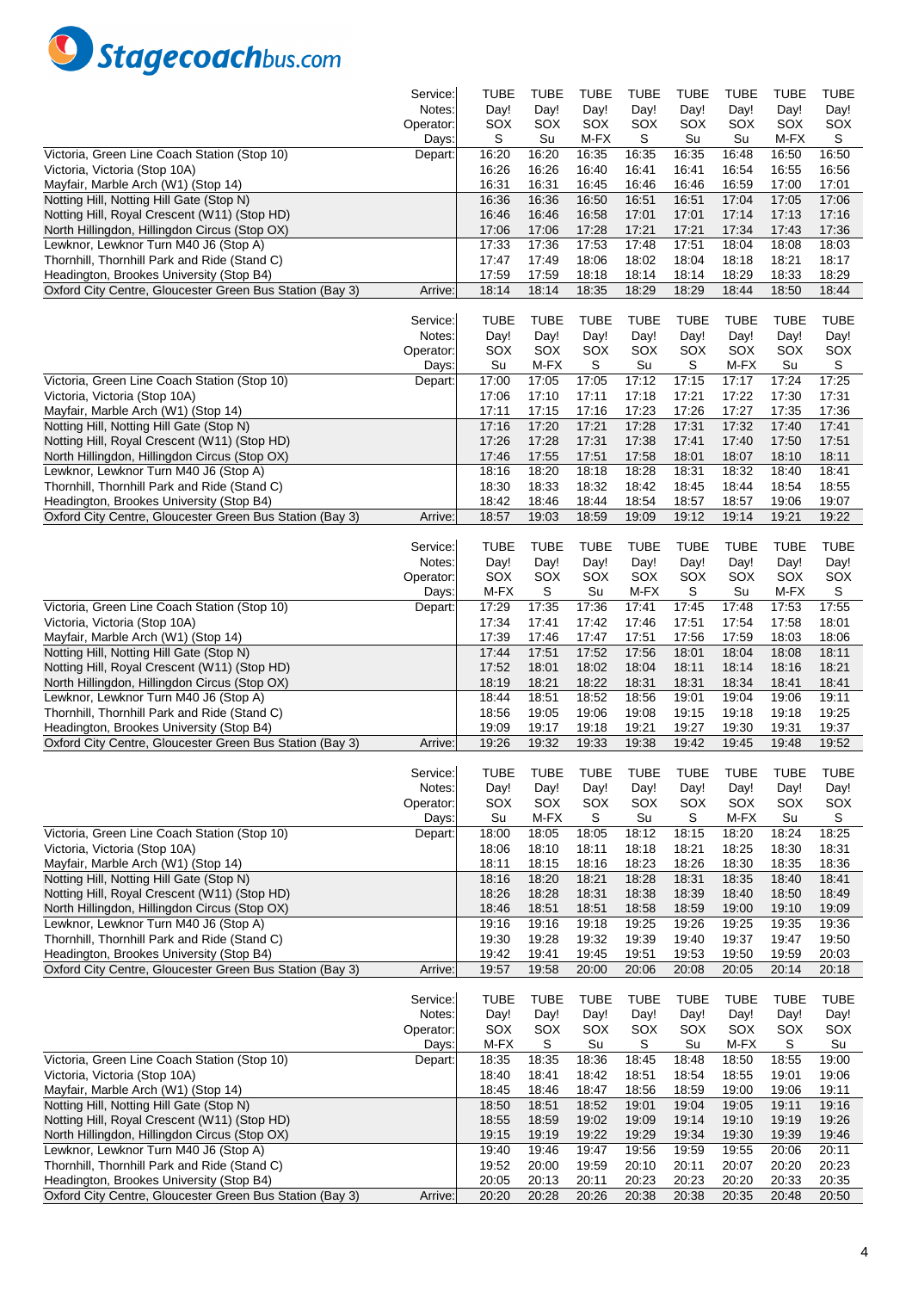

|                                                          | Service:  | TUBE        | <b>TUBE</b> | TUBE        | <b>TUBE</b> | TUBE        | TUBE        | <b>TUBE</b> | TUBE        |
|----------------------------------------------------------|-----------|-------------|-------------|-------------|-------------|-------------|-------------|-------------|-------------|
|                                                          | Notes:    | Day!        | Day!        | Day!        | Day!        | Day!        | Day!        | Day!        | Day!        |
|                                                          | Operator: | SOX         | SOX         | SOX         | SOX         | SOX         | SOX         | SOX         | SOX         |
|                                                          | Days:     | S           | Su          | M-FX        | S           | Su          | Su          | M-FX        | S           |
| Victoria, Green Line Coach Station (Stop 10)             | Depart:   | 16:20       | 16:20       | 16:35       | 16:35       | 16:35       | 16:48       | 16:50       | 16:50       |
| Victoria, Victoria (Stop 10A)                            |           | 16:26       | 16:26       | 16:40       | 16:41       | 16:41       | 16:54       | 16:55       | 16:56       |
| Mayfair, Marble Arch (W1) (Stop 14)                      |           | 16:31       | 16:31       | 16:45       | 16:46       | 16:46       | 16:59       | 17:00       | 17:01       |
| Notting Hill, Notting Hill Gate (Stop N)                 |           | 16:36       | 16:36       | 16:50       | 16:51       | 16:51       | 17:04       | 17:05       | 17:06       |
| Notting Hill, Royal Crescent (W11) (Stop HD)             |           | 16:46       | 16:46       | 16:58       | 17:01       | 17:01       | 17:14       | 17:13       | 17:16       |
| North Hillingdon, Hillingdon Circus (Stop OX)            |           | 17:06       | 17:06       | 17:28       | 17:21       | 17:21       | 17:34       | 17:43       | 17:36       |
| Lewknor, Lewknor Turn M40 J6 (Stop A)                    |           | 17:33       | 17:36       | 17:53       | 17:48       | 17:51       | 18:04       | 18:08       | 18:03       |
|                                                          |           |             |             |             |             |             |             |             |             |
| Thornhill, Thornhill Park and Ride (Stand C)             |           | 17:47       | 17:49       | 18:06       | 18:02       | 18:04       | 18:18       | 18:21       | 18:17       |
| Headington, Brookes University (Stop B4)                 |           | 17:59       | 17:59       | 18:18       | 18:14       | 18:14       | 18:29       | 18:33       | 18:29       |
| Oxford City Centre, Gloucester Green Bus Station (Bay 3) | Arrive:   | 18:14       | 18:14       | 18:35       | 18:29       | 18:29       | 18:44       | 18:50       | 18:44       |
|                                                          |           |             |             |             |             |             |             |             |             |
|                                                          | Service:  | <b>TUBE</b> | <b>TUBE</b> | TUBE        | <b>TUBE</b> | <b>TUBE</b> | TUBE        | <b>TUBE</b> | <b>TUBE</b> |
|                                                          | Notes:    | Day!        | Day!        | Day!        | Day!        | Day!        | Day!        | Day!        | Day!        |
|                                                          | Operator: | SOX         | SOX         | SOX         | SOX         | SOX         | SOX         | SOX         | SOX         |
|                                                          | Days:     | Su          | M-FX        | S           | Su          | S           | M-FX        | Su          | S           |
| Victoria, Green Line Coach Station (Stop 10)             | Depart:   | 17:00       | 17:05       | 17:05       | 17:12       | 17:15       | 17:17       | 17:24       | 17:25       |
| Victoria, Victoria (Stop 10A)                            |           | 17:06       | 17:10       | 17:11       | 17:18       | 17:21       | 17:22       | 17:30       | 17:31       |
| Mayfair, Marble Arch (W1) (Stop 14)                      |           | 17:11       | 17:15       | 17:16       | 17:23       | 17:26       | 17:27       | 17:35       | 17:36       |
| Notting Hill, Notting Hill Gate (Stop N)                 |           | 17:16       | 17:20       | 17:21       | 17:28       | 17:31       | 17:32       | 17:40       | 17:41       |
| Notting Hill, Royal Crescent (W11) (Stop HD)             |           | 17:26       | 17:28       | 17:31       | 17:38       | 17:41       | 17:40       | 17:50       | 17:51       |
| North Hillingdon, Hillingdon Circus (Stop OX)            |           | 17:46       | 17:55       | 17:51       | 17:58       | 18:01       | 18:07       | 18:10       | 18:11       |
| Lewknor, Lewknor Turn M40 J6 (Stop A)                    |           | 18:16       | 18:20       | 18:18       | 18:28       | 18:31       | 18:32       | 18:40       | 18:41       |
| Thornhill, Thornhill Park and Ride (Stand C)             |           | 18:30       | 18:33       | 18:32       | 18:42       | 18:45       | 18:44       | 18:54       | 18:55       |
| Headington, Brookes University (Stop B4)                 |           | 18:42       | 18:46       | 18:44       | 18:54       | 18:57       | 18:57       | 19:06       | 19:07       |
| Oxford City Centre, Gloucester Green Bus Station (Bay 3) | Arrive:   | 18:57       | 19:03       | 18:59       | 19:09       | 19:12       | 19:14       | 19:21       | 19:22       |
|                                                          |           |             |             |             |             |             |             |             |             |
|                                                          | Service:  | <b>TUBE</b> | <b>TUBE</b> | <b>TUBE</b> | <b>TUBE</b> | <b>TUBE</b> | TUBE        | <b>TUBE</b> | <b>TUBE</b> |
|                                                          | Notes:    |             |             |             |             |             |             |             |             |
|                                                          |           | Day!        | Day!        | Day!        | Day!        | Day!        | Day!        | Day!        | Day!        |
|                                                          | Operator: | SOX         | SOX         | SOX         | SOX         | SOX         | SOX         | SOX         | SOX         |
|                                                          | Days:     | M-FX        | S           | Su          | M-FX        | S           | Su          | M-FX        | S           |
| Victoria, Green Line Coach Station (Stop 10)             | Depart:   | 17:29       | 17:35       | 17:36       | 17:41       | 17:45       | 17:48       | 17:53       | 17:55       |
| Victoria, Victoria (Stop 10A)                            |           | 17:34       | 17:41       | 17:42       | 17:46       | 17:51       | 17:54       | 17:58       | 18:01       |
| Mayfair, Marble Arch (W1) (Stop 14)                      |           | 17:39       | 17:46       | 17:47       | 17:51       | 17:56       | 17:59       | 18:03       | 18:06       |
| Notting Hill, Notting Hill Gate (Stop N)                 |           | 17:44       | 17:51       | 17:52       | 17:56       | 18:01       | 18:04       | 18:08       | 18:11       |
| Notting Hill, Royal Crescent (W11) (Stop HD)             |           | 17:52       | 18:01       | 18:02       | 18:04       | 18:11       | 18:14       | 18:16       | 18:21       |
| North Hillingdon, Hillingdon Circus (Stop OX)            |           | 18:19       | 18:21       | 18:22       | 18:31       | 18:31       | 18:34       | 18:41       | 18:41       |
| Lewknor, Lewknor Turn M40 J6 (Stop A)                    |           | 18:44       | 18:51       | 18:52       | 18:56       | 19:01       | 19:04       | 19:06       | 19:11       |
| Thornhill, Thornhill Park and Ride (Stand C)             |           | 18:56       | 19:05       | 19:06       | 19:08       | 19:15       | 19:18       | 19:18       | 19:25       |
| Headington, Brookes University (Stop B4)                 |           | 19:09       | 19:17       | 19:18       | 19:21       | 19:27       | 19:30       | 19:31       | 19:37       |
| Oxford City Centre, Gloucester Green Bus Station (Bay 3) | Arrive:   | 19:26       | 19:32       | 19:33       | 19:38       | 19:42       | 19:45       | 19:48       | 19:52       |
|                                                          |           |             |             |             |             |             |             |             |             |
|                                                          | Service:  | <b>TUBF</b> | <b>TUBE</b> | <b>TUBE</b> | <b>TUBE</b> | <b>TUBE</b> | <b>TUBE</b> | <b>TUBE</b> | <b>TUBF</b> |
|                                                          | Notes:    | Day!        | Day!        | Day!        | Day!        | Day!        | Day!        | Day!        | Day!        |
|                                                          | Operator: | SOX         | SOX         | SOX         | SOX         | SOX         | SOX         | SOX         | SOX         |
|                                                          | Days:     | Su          | M-FX        | S           | Su          | S           | M-FX        | Su          | S           |
| Victoria, Green Line Coach Station (Stop 10)             | Depart:   | 18:00       | 18:05       | 18:05       | 18:12       | 18:15       | 18:20       | 18:24       | 18:25       |
| Victoria, Victoria (Stop 10A)                            |           | 18:06       | 18:10       | 18:11       | 18:18       | 18:21       | 18:25       | 18:30       | 18:31       |
| Mayfair, Marble Arch (W1) (Stop 14)                      |           | 18:11       | 18:15       | 18:16       | 18:23       | 18:26       | 18:30       | 18:35       | 18:36       |
| Notting Hill, Notting Hill Gate (Stop N)                 |           | 18:16       | 18:20       | 18:21       | 18:28       | 18:31       | 18:35       | 18:40       | 18:41       |
| Notting Hill, Royal Crescent (W11) (Stop HD)             |           | 18:26       | 18:28       | 18:31       | 18:38       | 18:39       | 18:40       | 18:50       | 18:49       |
| North Hillingdon, Hillingdon Circus (Stop OX)            |           | 18:46       | 18:51       | 18:51       | 18:58       | 18:59       | 19:00       | 19:10       | 19:09       |
| Lewknor, Lewknor Turn M40 J6 (Stop A)                    |           | 19:16       | 19:16       | 19:18       | 19:25       | 19:26       | 19:25       | 19:35       | 19:36       |
| Thornhill, Thornhill Park and Ride (Stand C)             |           | 19:30       | 19:28       | 19:32       | 19:39       | 19:40       | 19:37       | 19:47       | 19:50       |
| Headington, Brookes University (Stop B4)                 |           | 19:42       | 19:41       | 19:45       | 19:51       | 19:53       | 19:50       | 19:59       | 20:03       |
|                                                          |           |             |             |             |             | 20:08       |             |             |             |
| Oxford City Centre, Gloucester Green Bus Station (Bay 3) | Arrive:   | 19:57       | 19:58       | 20:00       | 20:06       |             | 20:05       | 20:14       | 20:18       |
|                                                          |           |             |             |             |             |             |             |             |             |
|                                                          | Service:  | <b>TUBE</b> | <b>TUBE</b> | <b>TUBE</b> | <b>TUBE</b> | <b>TUBE</b> | <b>TUBE</b> | <b>TUBE</b> | <b>TUBE</b> |
|                                                          | Notes:    | Day!        | Day!        | Day!        | Day!        | Day!        | Day!        | Day!        | Day!        |
|                                                          | Operator: | SOX         | SOX         | SOX         | SOX         | SOX         | SOX         | SOX         | SOX         |
|                                                          | Days:     | M-FX        | S           | Su          | S           | Su          | M-FX        | S           | Su          |
| Victoria, Green Line Coach Station (Stop 10)             | Depart:   | 18:35       | 18:35       | 18:36       | 18:45       | 18:48       | 18:50       | 18:55       | 19:00       |
| Victoria, Victoria (Stop 10A)                            |           | 18:40       | 18:41       | 18:42       | 18:51       | 18:54       | 18:55       | 19:01       | 19:06       |
| Mayfair, Marble Arch (W1) (Stop 14)                      |           | 18:45       | 18:46       | 18:47       | 18:56       | 18:59       | 19:00       | 19:06       | 19:11       |
| Notting Hill, Notting Hill Gate (Stop N)                 |           | 18:50       | 18:51       | 18:52       | 19:01       | 19:04       | 19:05       | 19:11       | 19:16       |
| Notting Hill, Royal Crescent (W11) (Stop HD)             |           | 18:55       | 18:59       | 19:02       | 19:09       | 19:14       | 19:10       | 19:19       | 19:26       |
| North Hillingdon, Hillingdon Circus (Stop OX)            |           | 19:15       | 19:19       | 19:22       | 19:29       | 19:34       | 19:30       | 19:39       | 19:46       |
| Lewknor, Lewknor Turn M40 J6 (Stop A)                    |           | 19:40       | 19:46       | 19:47       | 19:56       | 19:59       | 19:55       | 20:06       | 20:11       |
| Thornhill, Thornhill Park and Ride (Stand C)             |           | 19:52       | 20:00       | 19:59       | 20:10       | 20:11       | 20:07       | 20:20       | 20:23       |
| Headington, Brookes University (Stop B4)                 |           | 20:05       | 20:13       | 20:11       | 20:23       | 20:23       | 20:20       | 20:33       | 20:35       |
| Oxford City Centre, Gloucester Green Bus Station (Bay 3) | Arrive:   | 20:20       | 20:28       | 20:26       | 20:38       | 20:38       | 20:35       | 20:48       | 20:50       |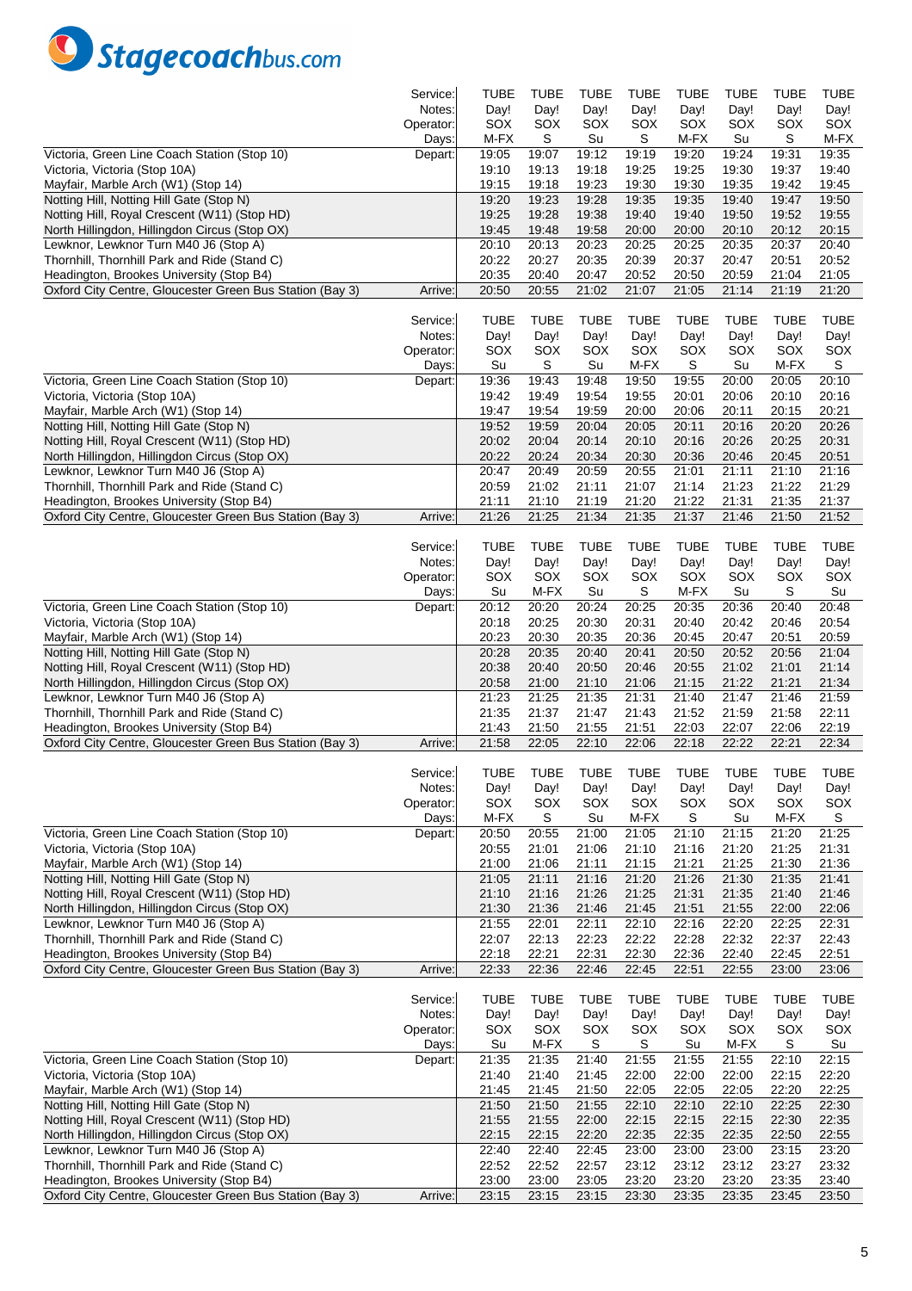

|                                                                                                      | Service:            | TUBE           | <b>TUBE</b>    | TUBE           | TUBE           | TUBE           | TUBE           | <b>TUBE</b>    | <b>TUBE</b>    |
|------------------------------------------------------------------------------------------------------|---------------------|----------------|----------------|----------------|----------------|----------------|----------------|----------------|----------------|
|                                                                                                      | Notes:              | Day!           | Day!           | Day!           | Day!           | Day!           | Day!           | Day!           | Day!           |
|                                                                                                      | Operator:           | SOX            | SOX            | SOX            | SOX            | SOX            | SOX            | SOX            | SOX            |
|                                                                                                      | Days:               | M-FX           | S              | Su             | S              | M-FX           | Su             | S              | M-FX           |
| Victoria, Green Line Coach Station (Stop 10)                                                         | Depart:             | 19:05          | 19:07          | 19:12          | 19:19          | 19:20          | 19:24          | 19:31          | 19:35          |
| Victoria, Victoria (Stop 10A)                                                                        |                     | 19:10          | 19:13          | 19:18          | 19:25          | 19:25          | 19:30          | 19:37          | 19:40          |
| Mayfair, Marble Arch (W1) (Stop 14)                                                                  |                     | 19:15          | 19:18          | 19:23          | 19:30          | 19:30          | 19:35          | 19:42          | 19:45          |
| Notting Hill, Notting Hill Gate (Stop N)                                                             |                     | 19:20          | 19:23          | 19:28          | 19:35          | 19:35          | 19:40          | 19:47          | 19:50          |
| Notting Hill, Royal Crescent (W11) (Stop HD)                                                         |                     | 19:25          | 19:28          | 19:38          | 19:40          | 19:40          | 19:50          | 19:52          | 19:55          |
| North Hillingdon, Hillingdon Circus (Stop OX)                                                        |                     | 19:45          | 19:48          | 19:58          | 20:00          | 20:00          | 20:10          | 20:12          | 20:15          |
| Lewknor, Lewknor Turn M40 J6 (Stop A)                                                                |                     | 20:10          | 20:13          | 20:23          | 20:25          | 20:25          | 20:35          | 20:37          | 20:40          |
| Thornhill, Thornhill Park and Ride (Stand C)                                                         |                     | 20:22          | 20:27          | 20:35          | 20:39          | 20:37          | 20:47          | 20:51          | 20:52          |
| Headington, Brookes University (Stop B4)                                                             |                     | 20:35          | 20:40          | 20:47          | 20:52          | 20:50          | 20:59          | 21:04          | 21:05          |
| Oxford City Centre, Gloucester Green Bus Station (Bay 3)                                             | Arrive:             | 20:50          | 20:55          | 21:02          | 21:07          | 21:05          | 21:14          | 21:19          | 21:20          |
|                                                                                                      |                     | <b>TUBE</b>    | <b>TUBE</b>    | TUBE           | <b>TUBE</b>    | <b>TUBE</b>    | TUBE           | <b>TUBE</b>    | TUBE           |
|                                                                                                      | Service:            |                |                |                |                |                |                |                |                |
|                                                                                                      | Notes:<br>Operator: | Day!<br>SOX    | Day!<br>SOX    | Day!<br>SOX    | Day!<br>SOX    | Day!<br>SOX    | Day!<br>SOX    | Day!<br>SOX    | Day!<br>SOX    |
|                                                                                                      | Days:               | Su             | S              | Su             | M-FX           | S              | Su             | M-FX           | S              |
| Victoria, Green Line Coach Station (Stop 10)                                                         | Depart:             | 19:36          | 19:43          | 19:48          | 19:50          | 19:55          | 20:00          | 20:05          | 20:10          |
| Victoria, Victoria (Stop 10A)                                                                        |                     | 19:42          | 19:49          | 19:54          | 19:55          | 20:01          | 20:06          | 20:10          | 20:16          |
| Mayfair, Marble Arch (W1) (Stop 14)                                                                  |                     | 19:47          | 19:54          | 19:59          | 20:00          | 20:06          | 20:11          | 20:15          | 20:21          |
| Notting Hill, Notting Hill Gate (Stop N)                                                             |                     | 19:52          | 19:59          | 20:04          | 20:05          | 20:11          | 20:16          | 20:20          | 20:26          |
| Notting Hill, Royal Crescent (W11) (Stop HD)                                                         |                     | 20:02          | 20:04          | 20:14          | 20:10          | 20:16          | 20:26          | 20:25          | 20:31          |
| North Hillingdon, Hillingdon Circus (Stop OX)                                                        |                     | 20:22          | 20:24          | 20:34          | 20:30          | 20:36          | 20:46          | 20:45          | 20:51          |
| Lewknor, Lewknor Turn M40 J6 (Stop A)                                                                |                     | 20:47          | 20:49          | 20:59          | 20:55          | 21:01          | 21:11          | 21:10          | 21:16          |
| Thornhill, Thornhill Park and Ride (Stand C)                                                         |                     | 20:59          | 21:02          | 21:11          | 21:07          | 21:14          | 21:23          | 21:22          | 21:29          |
| Headington, Brookes University (Stop B4)                                                             |                     | 21:11          | 21:10          | 21:19          | 21:20          | 21:22          | 21:31          | 21:35          | 21:37          |
| Oxford City Centre, Gloucester Green Bus Station (Bay 3)                                             | Arrive:             | 21:26          | 21:25          | 21:34          | 21:35          | 21:37          | 21:46          | 21:50          | 21:52          |
|                                                                                                      |                     |                |                |                |                |                |                |                |                |
|                                                                                                      | Service:            | <b>TUBE</b>    | TUBE           | <b>TUBE</b>    | <b>TUBE</b>    | <b>TUBE</b>    | <b>TUBE</b>    | <b>TUBE</b>    | <b>TUBE</b>    |
|                                                                                                      | Notes:              | Day!           | Day!           | Day!           | Day!           | Day!           | Day!           | Day!           | Day!           |
|                                                                                                      | Operator:           | SOX            | SOX            | SOX            | SOX            | SOX            | SOX            | SOX            | SOX            |
|                                                                                                      | Days:               | Su             | M-FX           | Su             | S              | M-FX           | Su             | S              | Su             |
| Victoria, Green Line Coach Station (Stop 10)                                                         | Depart:             | 20:12          | 20:20          | 20:24          | 20:25          | 20:35          | 20:36          | 20:40          | 20:48          |
| Victoria, Victoria (Stop 10A)                                                                        |                     | 20:18          | 20:25          | 20:30          | 20:31          | 20:40          | 20:42          | 20:46          | 20:54          |
| Mayfair, Marble Arch (W1) (Stop 14)                                                                  |                     | 20:23          | 20:30          | 20:35          | 20:36          | 20:45          | 20:47          | 20:51          | 20:59          |
| Notting Hill, Notting Hill Gate (Stop N)                                                             |                     | 20:28          | 20:35          | 20:40          | 20:41          | 20:50          | 20:52          | 20:56          | 21:04          |
| Notting Hill, Royal Crescent (W11) (Stop HD)                                                         |                     | 20:38          | 20:40          | 20:50          | 20:46          | 20:55          | 21:02          | 21:01          | 21:14          |
| North Hillingdon, Hillingdon Circus (Stop OX)                                                        |                     | 20:58          | 21:00          | 21:10          | 21:06          | 21:15          | 21:22          | 21:21          | 21:34          |
| Lewknor, Lewknor Turn M40 J6 (Stop A)                                                                |                     | 21:23          | 21:25          | 21:35          | 21:31          | 21:40          | 21:47          | 21:46          | 21:59          |
|                                                                                                      |                     |                |                |                |                |                |                |                |                |
| Thornhill, Thornhill Park and Ride (Stand C)                                                         |                     | 21:35          | 21:37          | 21:47          | 21:43          | 21:52          | 21:59          | 21:58          | 22:11          |
| Headington, Brookes University (Stop B4)                                                             |                     | 21:43          | 21:50          | 21:55          | 21:51          | 22:03          | 22:07          | 22:06          | 22:19          |
| Oxford City Centre, Gloucester Green Bus Station (Bay 3)                                             | Arrive:             | 21:58          | 22:05          | 22:10          | 22:06          | 22:18          | 22:22          | 22:21          | 22:34          |
|                                                                                                      |                     |                |                |                |                |                |                |                |                |
|                                                                                                      | Service:            | <b>TUBF</b>    | <b>TUBE</b>    | <b>TUBE</b>    | <b>TUBE</b>    | <b>TUBE</b>    | <b>TUBE</b>    | <b>TUBE</b>    | <b>TUBF</b>    |
|                                                                                                      | Notes:              | Day!           | Day!           | Day!           | Day!           | Day!           | Day!           | Day!           | Day!           |
|                                                                                                      | Operator:           | SOX            | SOX            | SOX            | SOX            | SOX            | SOX            | SOX            | SOX            |
|                                                                                                      | Days:               | M-FX           | S              | Su             | M-FX           | S              | Su             | M-FX           | S              |
| Victoria, Green Line Coach Station (Stop 10)                                                         | Depart:             | 20:50          | 20:55          | 21:00          | 21:05          | 21:10          | 21:15          | 21:20          | 21:25          |
| Victoria, Victoria (Stop 10A)                                                                        |                     | 20:55          | 21:01          | 21:06          | 21:10          | 21:16          | 21:20          | 21:25          | 21:31          |
| Mayfair, Marble Arch (W1) (Stop 14)                                                                  |                     | 21:00          | 21:06          | 21:11          | 21:15          | 21:21          | 21:25          | 21:30          | 21:36          |
| Notting Hill, Notting Hill Gate (Stop N)                                                             |                     | 21:05          | 21:11          | 21:16          | 21:20          | 21:26          | 21:30          | 21:35          | 21:41          |
| Notting Hill, Royal Crescent (W11) (Stop HD)                                                         |                     | 21:10          | 21:16          | 21:26          | 21:25          | 21:31          | 21:35          | 21:40          | 21:46          |
| North Hillingdon, Hillingdon Circus (Stop OX)                                                        |                     | 21:30          | 21:36          | 21:46          | 21:45          | 21:51          | 21:55          | 22:00          | 22:06          |
| Lewknor, Lewknor Turn M40 J6 (Stop A)                                                                |                     | 21:55          | 22:01          | 22:11          | 22:10          | 22:16          | 22:20          | 22:25          | 22:31          |
| Thornhill, Thornhill Park and Ride (Stand C)                                                         |                     | 22:07          | 22:13          | 22:23          | 22:22          | 22:28          | 22:32          | 22:37          | 22:43          |
| Headington, Brookes University (Stop B4)                                                             |                     | 22:18          | 22:21          | 22:31          | 22:30          | 22:36          | 22:40          | 22:45          | 22:51          |
| Oxford City Centre, Gloucester Green Bus Station (Bay 3)                                             | Arrive:             | 22:33          | 22:36          | 22:46          | 22:45          | 22:51          | 22:55          | 23:00          | 23:06          |
|                                                                                                      |                     |                |                |                |                |                |                |                |                |
|                                                                                                      | Service:            | <b>TUBE</b>    | <b>TUBE</b>    | <b>TUBE</b>    | <b>TUBE</b>    | <b>TUBE</b>    | <b>TUBE</b>    | <b>TUBE</b>    | <b>TUBE</b>    |
|                                                                                                      | Notes:              | Day!           | Day!           | Day!           | Day!           | Day!           | Day!           | Day!           | Day!           |
|                                                                                                      | Operator:           | SOX            | SOX            | SOX            | SOX            | SOX            | SOX            | SOX            | SOX            |
|                                                                                                      | Days:               | Su             | M-FX           | S              | S              | Su             | M-FX           | S              | Su             |
| Victoria, Green Line Coach Station (Stop 10)                                                         | Depart:             | 21:35          | 21:35          | 21:40          | 21:55          | 21:55          | 21:55          | 22:10          | 22:15          |
| Victoria, Victoria (Stop 10A)                                                                        |                     | 21:40          | 21:40          | 21:45          | 22:00          | 22:00          | 22:00          | 22:15          | 22:20          |
| Mayfair, Marble Arch (W1) (Stop 14)                                                                  |                     | 21:45          | 21:45          | 21:50          | 22:05          | 22:05          | 22:05          | 22:20          | 22:25          |
| Notting Hill, Notting Hill Gate (Stop N)                                                             |                     | 21:50          | 21:50          | 21:55          | 22:10          | 22:10          | 22:10          | 22:25          | 22:30          |
| Notting Hill, Royal Crescent (W11) (Stop HD)                                                         |                     | 21:55          | 21:55          | 22:00          | 22:15          | 22:15          | 22:15          | 22:30          | 22:35          |
| North Hillingdon, Hillingdon Circus (Stop OX)                                                        |                     | 22:15          | 22:15          | 22:20          | 22:35          | 22:35          | 22:35          | 22:50          | 22:55          |
| Lewknor, Lewknor Turn M40 J6 (Stop A)                                                                |                     | 22:40          | 22:40          | 22:45          | 23:00          | 23:00          | 23:00          | 23:15          | 23:20          |
| Thornhill, Thornhill Park and Ride (Stand C)                                                         |                     | 22:52          | 22:52          | 22:57          | 23:12          | 23:12          | 23:12          | 23:27          | 23:32          |
| Headington, Brookes University (Stop B4)<br>Oxford City Centre, Gloucester Green Bus Station (Bay 3) | Arrive:             | 23:00<br>23:15 | 23:00<br>23:15 | 23:05<br>23:15 | 23:20<br>23:30 | 23:20<br>23:35 | 23:20<br>23:35 | 23:35<br>23:45 | 23:40<br>23:50 |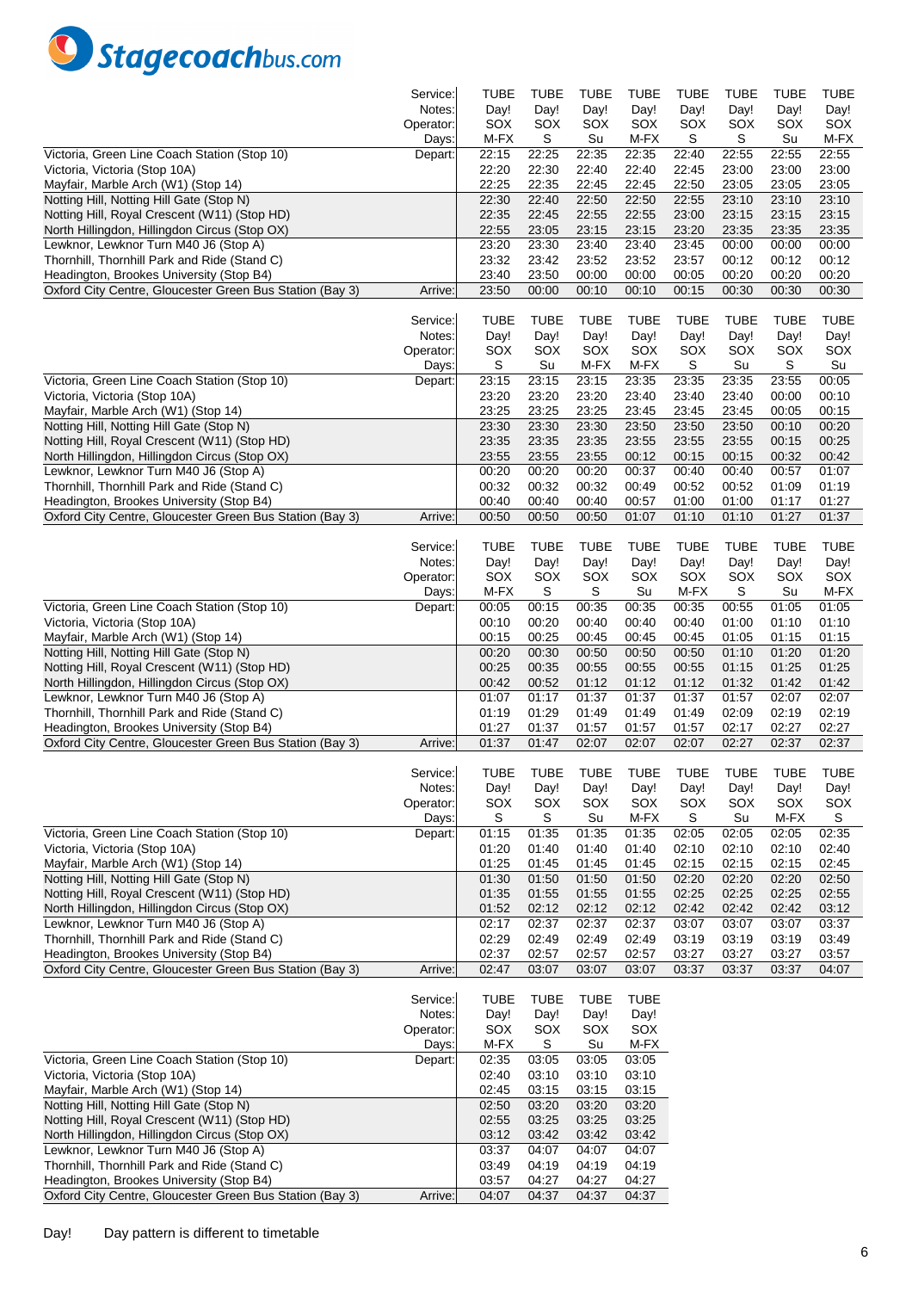

|                                                                                                      | Service:  | TUBE           | <b>TUBE</b>    | <b>TUBE</b>    | <b>TUBE</b>    | <b>TUBE</b>    | TUBE           | <b>TUBE</b>    | <b>TUBE</b>    |
|------------------------------------------------------------------------------------------------------|-----------|----------------|----------------|----------------|----------------|----------------|----------------|----------------|----------------|
|                                                                                                      | Notes:    | Day!           | Day!           | Day!           | Day!           | Day!           | Day!           | Day!           | Day!           |
|                                                                                                      | Operator: | SOX            | SOX            | SOX            | SOX            | SOX            | SOX            | SOX            | SOX            |
|                                                                                                      | Days:     | M-FX           | S              | Su             | M-FX           | S              | S              | Su             | M-FX           |
| Victoria, Green Line Coach Station (Stop 10)                                                         | Depart:   | 22:15          | 22:25          | 22:35          | 22:35          | 22:40          | 22:55          | 22:55          | 22:55          |
| Victoria, Victoria (Stop 10A)                                                                        |           | 22:20          | 22:30          | 22:40          | 22:40          | 22:45          | 23:00          | 23:00          | 23:00          |
| Mayfair, Marble Arch (W1) (Stop 14)                                                                  |           | 22:25          | 22:35          | 22:45          | 22:45          | 22:50          | 23:05          | 23:05          | 23:05          |
| Notting Hill, Notting Hill Gate (Stop N)                                                             |           | 22:30          | 22:40          | 22:50          | 22:50          | 22:55          | 23:10          | 23:10          | 23:10          |
| Notting Hill, Royal Crescent (W11) (Stop HD)                                                         |           | 22:35          | 22:45          | 22:55          | 22:55          | 23:00          | 23:15          | 23:15          | 23:15          |
| North Hillingdon, Hillingdon Circus (Stop OX)                                                        |           | 22:55          | 23:05          | 23:15          | 23:15          | 23:20          | 23:35          | 23:35          | 23:35          |
| Lewknor, Lewknor Turn M40 J6 (Stop A)                                                                |           | 23:20          | 23:30          | 23:40          | 23:40          | 23:45          | 00:00          | 00:00          | 00:00          |
| Thornhill, Thornhill Park and Ride (Stand C)                                                         |           | 23:32          | 23:42          | 23:52          | 23:52          | 23:57          | 00:12          | 00:12          | 00:12          |
| Headington, Brookes University (Stop B4)<br>Oxford City Centre, Gloucester Green Bus Station (Bay 3) |           | 23:40          | 23:50<br>00:00 | 00:00<br>00:10 | 00:00          | 00:05<br>00:15 | 00:20          | 00:20          | 00:20          |
|                                                                                                      | Arrive:   | 23:50          |                |                | 00:10          |                | 00:30          | 00:30          | 00:30          |
|                                                                                                      | Service:  | TUBE           | TUBE           | <b>TUBE</b>    | <b>TUBE</b>    | <b>TUBE</b>    | TUBE           | <b>TUBE</b>    | TUBE           |
|                                                                                                      | Notes:    | Day!           | Day!           | Day!           | Day!           | Day!           | Day!           | Day!           | Day!           |
|                                                                                                      | Operator: | SOX            | SOX            | SOX            | SOX            | SOX            | SOX            | SOX            | SOX            |
|                                                                                                      | Days:     | S              | Su             | M-FX           | M-FX           | S              | Su             | S              | Su             |
| Victoria, Green Line Coach Station (Stop 10)                                                         | Depart:   | 23:15          | 23:15          | 23:15          | 23:35          | 23:35          | 23:35          | 23:55          | 00:05          |
| Victoria, Victoria (Stop 10A)                                                                        |           | 23:20          | 23:20          | 23:20          | 23:40          | 23:40          | 23:40          | 00:00          | 00:10          |
| Mayfair, Marble Arch (W1) (Stop 14)                                                                  |           | 23:25          | 23:25          | 23:25          | 23:45          | 23:45          | 23:45          | 00:05          | 00:15          |
| Notting Hill, Notting Hill Gate (Stop N)                                                             |           | 23:30          | 23:30          | 23:30          | 23:50          | 23:50          | 23:50          | 00:10          | 00:20          |
| Notting Hill, Royal Crescent (W11) (Stop HD)                                                         |           | 23:35          | 23:35          | 23:35          | 23:55          | 23:55          | 23:55          | 00:15          | 00:25          |
| North Hillingdon, Hillingdon Circus (Stop OX)                                                        |           | 23:55          | 23:55          | 23:55          | 00:12          | 00:15          | 00:15          | 00:32          | 00:42          |
| Lewknor, Lewknor Turn M40 J6 (Stop A)                                                                |           | 00:20          | 00:20          | 00:20          | 00:37          | 00:40          | 00:40          | 00:57          | 01:07          |
| Thornhill, Thornhill Park and Ride (Stand C)                                                         |           | 00:32          | 00:32          | 00:32          | 00:49          | 00:52          | 00:52          | 01:09          | 01:19          |
| Headington, Brookes University (Stop B4)                                                             |           | 00:40          | 00:40          | 00:40          | 00:57          | 01:00          | 01:00          | 01:17          | 01:27          |
| Oxford City Centre, Gloucester Green Bus Station (Bay 3)                                             | Arrive:   | 00:50          | 00:50          | 00:50          | 01:07          | 01:10          | 01:10          | 01:27          | 01:37          |
|                                                                                                      |           |                |                |                |                |                |                |                |                |
|                                                                                                      | Service:  | TUBE           | <b>TUBE</b>    | <b>TUBE</b>    | <b>TUBE</b>    | TUBE           | TUBE           | <b>TUBE</b>    | TUBE           |
|                                                                                                      | Notes:    | Day!           | Day!           | Day!           | Day!           | Day!           | Day!           | Day!           | Day!           |
|                                                                                                      | Operator: | SOX            | SOX            | SOX            | SOX            | SOX            | SOX            | SOX            | SOX            |
|                                                                                                      | Days:     | M-FX           | S              | S              | Su             | M-FX           | S              | Su             | M-FX           |
| Victoria, Green Line Coach Station (Stop 10)                                                         | Depart:   | 00:05          | 00:15          | 00:35          | 00:35          | 00:35          | 00:55          | 01:05          | 01:05          |
| Victoria, Victoria (Stop 10A)                                                                        |           | 00:10          | 00:20          | 00:40          | 00:40          | 00:40          | 01:00          | 01:10          | 01:10          |
| Mayfair, Marble Arch (W1) (Stop 14)                                                                  |           | 00:15<br>00:20 | 00:25          | 00:45          | 00:45          | 00:45          | 01:05          | 01:15          | 01:15          |
| Notting Hill, Notting Hill Gate (Stop N)                                                             |           | 00:25          | 00:30<br>00:35 | 00:50<br>00:55 | 00:50          | 00:50<br>00:55 | 01:10<br>01:15 | 01:20<br>01:25 | 01:20<br>01:25 |
| Notting Hill, Royal Crescent (W11) (Stop HD)<br>North Hillingdon, Hillingdon Circus (Stop OX)        |           | 00:42          | 00:52          | 01:12          | 00:55<br>01:12 | 01:12          | 01:32          | 01:42          | 01:42          |
| Lewknor, Lewknor Turn M40 J6 (Stop A)                                                                |           | 01:07          | 01:17          | 01:37          | 01:37          | 01:37          | 01:57          | 02:07          | 02:07          |
| Thornhill, Thornhill Park and Ride (Stand C)                                                         |           | 01:19          | 01:29          | 01:49          | 01:49          | 01:49          | 02:09          | 02:19          | 02:19          |
| Headington, Brookes University (Stop B4)                                                             |           | 01:27          | 01:37          | 01:57          | 01:57          | 01:57          | 02:17          | 02:27          | 02:27          |
| Oxford City Centre, Gloucester Green Bus Station (Bay 3)                                             | Arrive:   | 01:37          | 01:47          | 02:07          | 02:07          | 02:07          | 02:27          | 02:37          | 02:37          |
|                                                                                                      |           |                |                |                |                |                |                |                |                |
|                                                                                                      | Service:  | <b>TUBE</b>    | <b>TUBE</b>    | TUBE           | <b>TUBE</b>    | <b>TUBE</b>    | <b>TUBE</b>    | <b>TUBE</b>    | <b>TUBE</b>    |
|                                                                                                      | Notes:    | Day!           | Day!           | Day!           | Day!           | Day!           | Day!           | Day!           | Day!           |
|                                                                                                      | Operator: | SOX            | SOX            | SOX            | SOX            | SOX            | SOX            | SOX            | SOX            |
|                                                                                                      | Days:     | S              | S              | Su             | M-FX           | S              | Su             | M-FX           | S              |
| Victoria, Green Line Coach Station (Stop 10)                                                         | Depart:   | 01:15          | 01:35          | 01:35          | 01:35          | 02:05          | 02:05          | 02:05          | 02:35          |
| Victoria, Victoria (Stop 10A)                                                                        |           | 01:20          | 01:40          | 01:40          | 01:40          | 02:10          | 02:10          | 02:10          | 02:40          |
| Mayfair, Marble Arch (W1) (Stop 14)                                                                  |           | 01:25          | 01:45          | 01:45          | 01:45          | 02:15          | 02:15          | 02:15          | 02:45          |
| Notting Hill, Notting Hill Gate (Stop N)                                                             |           | 01:30          | 01:50          | 01:50          | 01:50          | 02:20          | 02:20          | 02:20          | 02:50          |
| Notting Hill, Royal Crescent (W11) (Stop HD)                                                         |           | 01:35          | 01:55          | 01:55          | 01:55          | 02:25          | 02:25          | 02:25          | 02:55          |
| North Hillingdon, Hillingdon Circus (Stop OX)                                                        |           | 01:52          | 02:12          | 02:12          | 02:12          | 02:42          | 02:42          | 02:42          | 03:12          |
| Lewknor, Lewknor Turn M40 J6 (Stop A)                                                                |           | 02:17          | 02:37          | 02:37          | 02:37          | 03:07          | 03:07          | 03:07          | 03:37          |
| Thornhill, Thornhill Park and Ride (Stand C)                                                         |           | 02:29          | 02:49<br>02:57 | 02:49<br>02:57 | 02:49          | 03:19          | 03:19          | 03:19          | 03:49          |
| Headington, Brookes University (Stop B4)<br>Oxford City Centre, Gloucester Green Bus Station (Bay 3) |           | 02:37<br>02:47 | 03:07          |                | 02:57          | 03:27<br>03:37 | 03:27          | 03:27          | 03:57          |
|                                                                                                      | Arrive:   |                |                | 03:07          | 03:07          |                | 03:37          | 03:37          | 04:07          |
|                                                                                                      | Service:  | TUBE           | <b>TUBE</b>    | TUBE           | TUBE           |                |                |                |                |
|                                                                                                      | Notes:    | Day!           | Day!           | Day!           | Day!           |                |                |                |                |
|                                                                                                      | Operator: | SOX            | SOX            | SOX            | SOX            |                |                |                |                |
|                                                                                                      | Days:     | M-FX           | S              | Su             | M-FX           |                |                |                |                |
| Victoria, Green Line Coach Station (Stop 10)                                                         | Depart:   | 02:35          | 03:05          | 03:05          | 03:05          |                |                |                |                |
| Victoria, Victoria (Stop 10A)                                                                        |           | 02:40          | 03:10          | 03:10          | 03:10          |                |                |                |                |
| Mayfair, Marble Arch (W1) (Stop 14)                                                                  |           | 02:45          | 03:15          | 03:15          | 03:15          |                |                |                |                |
| Notting Hill, Notting Hill Gate (Stop N)                                                             |           | 02:50          | 03:20          | 03:20          | 03:20          |                |                |                |                |
| Notting Hill, Royal Crescent (W11) (Stop HD)                                                         |           | 02:55          | 03:25          | 03:25          | 03:25          |                |                |                |                |
| North Hillingdon, Hillingdon Circus (Stop OX)                                                        |           | 03:12          | 03:42          | 03:42          | 03:42          |                |                |                |                |
| Lewknor, Lewknor Turn M40 J6 (Stop A)                                                                |           | 03:37          | 04:07          | 04:07          | 04:07          |                |                |                |                |
| Thornhill, Thornhill Park and Ride (Stand C)                                                         |           | 03:49          | 04:19          | 04:19          | 04:19          |                |                |                |                |
| Headington, Brookes University (Stop B4)                                                             |           | 03:57          | 04:27          | 04:27          | 04:27          |                |                |                |                |
| Oxford City Centre, Gloucester Green Bus Station (Bay 3)                                             | Arrive:   | 04:07          | 04:37          | 04:37          | 04:37          |                |                |                |                |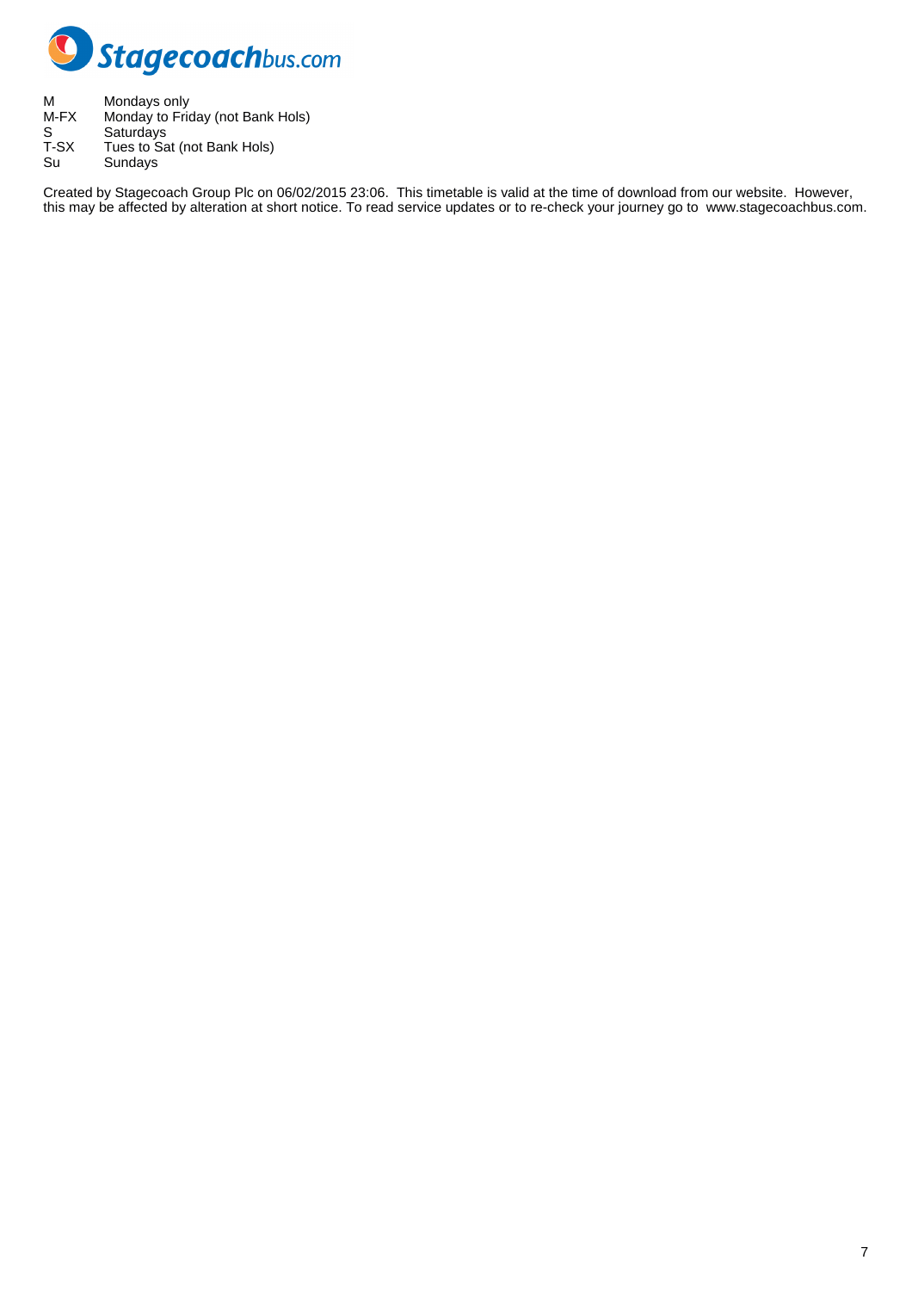

M Mondays only M-FX Monday to Friday (not Bank Hols) S Saturdays T-SX Tues to Sat (not Bank Hols) Su Sundays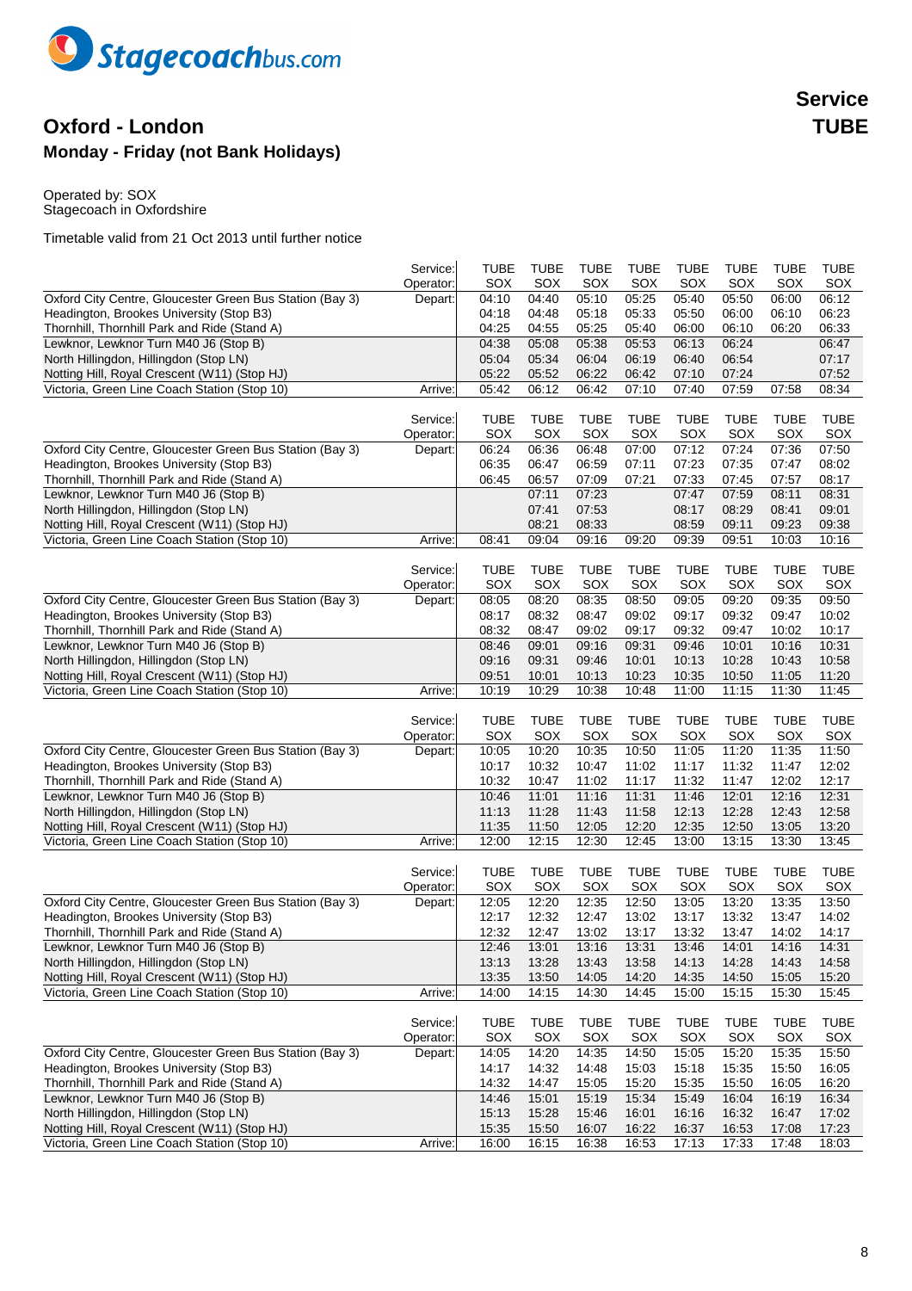

## **Oxford - London TUBE Monday - Friday (not Bank Holidays)**

Operated by: SOX Stagecoach in Oxfordshire

|                                                                                                      | Service:  | <b>TUBE</b>    | <b>TUBE</b>    | <b>TUBE</b>    | TUBE           | <b>TUBE</b>    | <b>TUBE</b>    | <b>TUBE</b>    | <b>TUBE</b>    |
|------------------------------------------------------------------------------------------------------|-----------|----------------|----------------|----------------|----------------|----------------|----------------|----------------|----------------|
|                                                                                                      | Operator: | SOX            | SOX            | SOX            | SOX            | SOX            | SOX            | SOX            | SOX            |
| Oxford City Centre, Gloucester Green Bus Station (Bay 3)<br>Headington, Brookes University (Stop B3) | Depart:   | 04:10          | 04:40          | 05:10          | 05:25          | 05:40          | 05:50          | 06:00          | 06:12          |
|                                                                                                      |           | 04:18<br>04:25 | 04:48          | 05:18<br>05:25 | 05:33          | 05:50<br>06:00 | 06:00          | 06:10<br>06:20 | 06:23<br>06:33 |
| Thornhill, Thornhill Park and Ride (Stand A)<br>Lewknor, Lewknor Turn M40 J6 (Stop B)                |           | 04:38          | 04:55<br>05:08 | 05:38          | 05:40<br>05:53 | 06:13          | 06:10<br>06:24 |                | 06:47          |
| North Hillingdon, Hillingdon (Stop LN)                                                               |           | 05:04          | 05:34          | 06:04          | 06:19          | 06:40          | 06:54          |                | 07:17          |
| Notting Hill, Royal Crescent (W11) (Stop HJ)                                                         |           | 05:22          | 05:52          | 06:22          | 06:42          | 07:10          | 07:24          |                | 07:52          |
| Victoria, Green Line Coach Station (Stop 10)                                                         | Arrive:   | 05:42          | 06:12          | 06:42          | 07:10          | 07:40          | 07:59          | 07:58          | 08:34          |
|                                                                                                      |           |                |                |                |                |                |                |                |                |
|                                                                                                      | Service:  | <b>TUBE</b>    | <b>TUBE</b>    | <b>TUBE</b>    | <b>TUBE</b>    | <b>TUBE</b>    | <b>TUBE</b>    | <b>TUBE</b>    | <b>TUBE</b>    |
|                                                                                                      | Operator: | SOX            | SOX            | SOX            | SOX            | SOX            | SOX            | SOX            | SOX            |
| Oxford City Centre, Gloucester Green Bus Station (Bay 3)                                             | Depart:   | 06:24          | 06:36          | 06:48          | 07:00          | 07:12          | 07:24          | 07:36          | 07:50          |
| Headington, Brookes University (Stop B3)                                                             |           | 06:35          | 06:47          | 06:59          | 07:11          | 07:23          | 07:35          | 07:47          | 08:02          |
| Thornhill, Thornhill Park and Ride (Stand A)                                                         |           | 06:45          | 06:57          | 07:09          | 07:21          | 07:33          | 07:45          | 07:57          | 08:17          |
| Lewknor, Lewknor Turn M40 J6 (Stop B)                                                                |           |                | 07:11          | 07:23          |                | 07:47          | 07:59          | 08:11          | 08:31          |
| North Hillingdon, Hillingdon (Stop LN)                                                               |           |                | 07:41          | 07:53          |                | 08:17          | 08:29          | 08:41          | 09:01          |
| Notting Hill, Royal Crescent (W11) (Stop HJ)                                                         |           |                | 08:21          | 08:33          |                | 08:59          | 09:11          | 09:23          | 09:38          |
| Victoria, Green Line Coach Station (Stop 10)                                                         | Arrive:   | 08:41          | 09:04          | 09:16          | 09:20          | 09:39          | 09:51          | 10:03          | 10:16          |
|                                                                                                      |           |                |                |                |                |                |                |                |                |
|                                                                                                      | Service:  | <b>TUBE</b>    | <b>TUBE</b>    | <b>TUBE</b>    | <b>TUBE</b>    | <b>TUBE</b>    | <b>TUBE</b>    | <b>TUBE</b>    | <b>TUBE</b>    |
|                                                                                                      | Operator: | SOX            | SOX            | SOX            | SOX            | SOX            | SOX            | SOX            | SOX            |
| Oxford City Centre, Gloucester Green Bus Station (Bay 3)                                             | Depart:   | 08:05          | 08:20          | 08:35          | 08:50          | 09:05          | 09:20          | 09:35          | 09:50          |
| Headington, Brookes University (Stop B3)                                                             |           | 08:17          | 08:32          | 08:47          | 09:02          | 09:17          | 09:32          | 09:47          | 10:02          |
| Thornhill, Thornhill Park and Ride (Stand A)                                                         |           | 08:32          | 08:47          | 09:02          | 09:17          | 09:32          | 09:47          | 10:02          | 10:17          |
| Lewknor, Lewknor Turn M40 J6 (Stop B)                                                                |           | 08:46          | 09:01          | 09:16          | 09:31          | 09:46          | 10:01          | 10:16          | 10:31          |
| North Hillingdon, Hillingdon (Stop LN)                                                               |           | 09:16          | 09:31          | 09:46          | 10:01          | 10:13          | 10:28          | 10:43          | 10:58          |
| Notting Hill, Royal Crescent (W11) (Stop HJ)                                                         |           | 09:51          | 10:01          | 10:13          | 10:23          | 10:35          | 10:50          | 11:05          | 11:20          |
| Victoria, Green Line Coach Station (Stop 10)                                                         | Arrive:   | 10:19          | 10:29          | 10:38          | 10:48          | 11:00          | 11:15          | 11:30          | 11:45          |
|                                                                                                      |           |                |                |                |                |                |                |                |                |
|                                                                                                      | Service:  | <b>TUBE</b>    | <b>TUBE</b>    | <b>TUBE</b>    | <b>TUBE</b>    | <b>TUBE</b>    | <b>TUBE</b>    | <b>TUBE</b>    | <b>TUBE</b>    |
|                                                                                                      | Operator: | SOX            | SOX            | SOX            | SOX            | SOX            | SOX            | SOX            | SOX            |
| Oxford City Centre, Gloucester Green Bus Station (Bay 3)                                             | Depart:   | 10:05          | 10:20          | 10:35          | 10:50          | 11:05          | 11:20          | 11:35          | 11:50          |
| Headington, Brookes University (Stop B3)                                                             |           | 10:17          | 10:32          | 10:47          | 11:02          | 11:17          | 11:32          | 11:47          | 12:02          |
| Thornhill, Thornhill Park and Ride (Stand A)                                                         |           | 10:32          | 10:47          | 11:02          | 11:17          | 11:32          | 11:47          | 12:02          | 12:17          |
| Lewknor, Lewknor Turn M40 J6 (Stop B)                                                                |           | 10:46          | 11:01          | 11:16          | 11:31          | 11:46          | 12:01          | 12:16          | 12:31          |
| North Hillingdon, Hillingdon (Stop LN)                                                               |           | 11:13          | 11:28          | 11:43          | 11:58          | 12:13          | 12:28          | 12:43          | 12:58          |
| Notting Hill, Royal Crescent (W11) (Stop HJ)                                                         |           | 11:35          | 11:50          | 12:05          | 12:20          | 12:35          | 12:50          | 13:05          | 13:20          |
| Victoria, Green Line Coach Station (Stop 10)                                                         | Arrive:   | 12:00          | 12:15          | 12:30          | 12:45          | 13:00          | 13:15          | 13:30          | 13:45          |
|                                                                                                      |           |                |                |                |                |                |                |                |                |
|                                                                                                      | Service:  | <b>TUBE</b>    | <b>TUBE</b>    | <b>TUBE</b>    | TUBE           | <b>TUBE</b>    | <b>TUBE</b>    | TUBE           | <b>TUBE</b>    |
|                                                                                                      | Operator: | SOX            | SOX            | SOX            | SOX            | SOX            | SOX            | SOX            | SOX            |
| Oxford City Centre, Gloucester Green Bus Station (Bay 3)                                             | Depart:   | 12:05          | 12:20          | 12:35          | 12:50          | 13:05          | 13:20          | 13:35          | 13:50          |
| Headington, Brookes University (Stop B3)                                                             |           | 12:17          | 12:32          | 12:47          | 13:02          | 13:17          | 13:32          | 13:47          | 14:02          |
| Thornhill, Thornhill Park and Ride (Stand A)                                                         |           | 12:32          | 12:47          | 13:02          | 13:17          | 13:32          | 13:47          | 14:02          | 14:17          |
| Lewknor, Lewknor Turn M40 J6 (Stop B)                                                                |           | 12:46          | 13:01          | 13:16          | 13:31          | 13:46          | 14:01          | 14:16          | 14:31          |
| North Hillingdon, Hillingdon (Stop LN)                                                               |           | 13:13          | 13:28          | 13:43          | 13:58          | 14:13          | 14:28          | 14:43          | 14:58          |
| Notting Hill, Royal Crescent (W11) (Stop HJ)<br>Victoria, Green Line Coach Station (Stop 10)         |           | 13:35          | 13:50          | 14:05          | 14:20          | 14:35          | 14:50          | 15:05          | 15:20          |
|                                                                                                      | Arrive:   | 14:00          | 14:15          | 14:30          | 14:45          | 15:00          | 15:15          | 15:30          | 15:45          |
|                                                                                                      | Service:  | <b>TUBE</b>    | <b>TUBE</b>    | <b>TUBE</b>    | <b>TUBE</b>    | <b>TUBE</b>    | <b>TUBE</b>    | <b>TUBE</b>    | <b>TUBE</b>    |
|                                                                                                      | Operator: | SOX            | SOX            | SOX            | SOX            | SOX            | SOX            | SOX            | SOX            |
| Oxford City Centre, Gloucester Green Bus Station (Bay 3)                                             | Depart:   | 14:05          | 14:20          | 14:35          | 14:50          | 15:05          | 15:20          | 15:35          | 15:50          |
| Headington, Brookes University (Stop B3)                                                             |           | 14:17          | 14:32          | 14:48          | 15:03          | 15:18          | 15:35          | 15:50          | 16:05          |
| Thornhill, Thornhill Park and Ride (Stand A)                                                         |           | 14:32          | 14:47          | 15:05          | 15:20          | 15:35          | 15:50          | 16:05          | 16:20          |
| Lewknor, Lewknor Turn M40 J6 (Stop B)                                                                |           | 14:46          | 15:01          | 15:19          | 15:34          | 15:49          | 16:04          | 16:19          | 16:34          |
| North Hillingdon, Hillingdon (Stop LN)                                                               |           | 15:13          | 15:28          | 15:46          | 16:01          | 16:16          | 16:32          | 16:47          | 17:02          |
| Notting Hill, Royal Crescent (W11) (Stop HJ)                                                         |           | 15:35          | 15:50          | 16:07          | 16:22          | 16:37          | 16:53          | 17:08          | 17:23          |
| Victoria, Green Line Coach Station (Stop 10)                                                         | Arrive:   | 16:00          | 16:15          | 16:38          | 16:53          | 17:13          | 17:33          | 17:48          | 18:03          |
|                                                                                                      |           |                |                |                |                |                |                |                |                |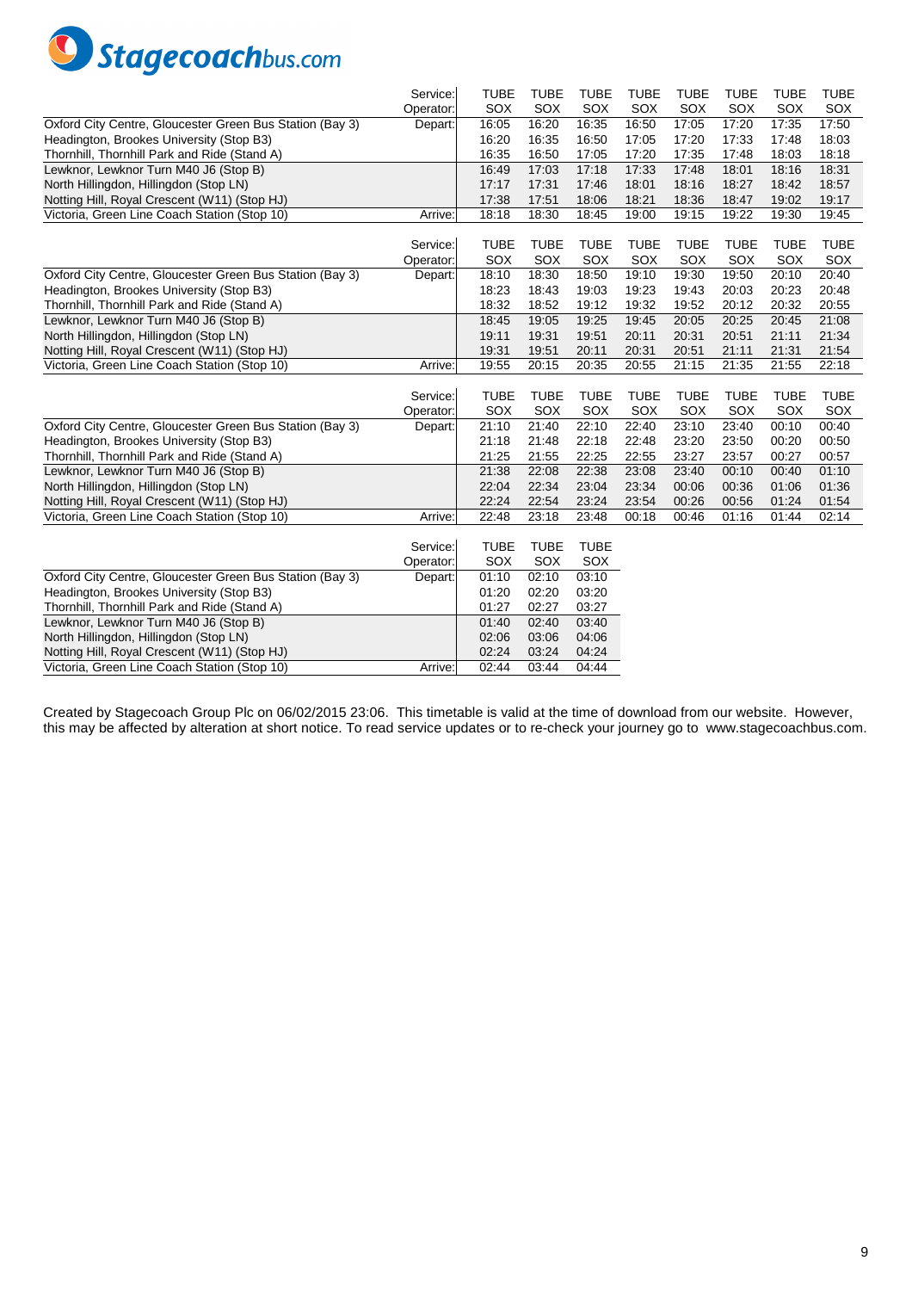

|                                                                                              | Service:  | <b>TUBE</b>        | <b>TUBE</b>    | <b>TUBE</b>    | <b>TUBE</b> | <b>TUBE</b> | <b>TUBE</b> | <b>TUBE</b> | <b>TUBE</b> |
|----------------------------------------------------------------------------------------------|-----------|--------------------|----------------|----------------|-------------|-------------|-------------|-------------|-------------|
|                                                                                              | Operator: | SOX                | SOX            | SOX            | SOX         | SOX         | SOX         | SOX         | SOX         |
| Oxford City Centre, Gloucester Green Bus Station (Bay 3)                                     | Depart:   | 16:05              | 16:20          | 16:35          | 16:50       | 17:05       | 17:20       | 17:35       | 17:50       |
| Headington, Brookes University (Stop B3)                                                     |           | 16:20              | 16:35          | 16:50          | 17:05       | 17:20       | 17:33       | 17:48       | 18:03       |
| Thornhill, Thornhill Park and Ride (Stand A)                                                 |           | 16:35              | 16:50          | 17:05          | 17:20       | 17:35       | 17:48       | 18:03       | 18:18       |
| Lewknor, Lewknor Turn M40 J6 (Stop B)                                                        |           | 16:49              | 17:03          | 17:18          | 17:33       | 17:48       | 18:01       | 18:16       | 18:31       |
| North Hillingdon, Hillingdon (Stop LN)                                                       |           | 17:17              | 17:31          | 17:46          | 18:01       | 18:16       | 18:27       | 18:42       | 18:57       |
| Notting Hill, Royal Crescent (W11) (Stop HJ)                                                 |           | 17:38              | 17:51          | 18:06          | 18:21       | 18:36       | 18:47       | 19:02       | 19:17       |
| Victoria, Green Line Coach Station (Stop 10)                                                 | Arrive:   | 18:18              | 18:30          | 18:45          | 19:00       | 19:15       | 19:22       | 19:30       | 19:45       |
|                                                                                              |           |                    |                |                |             |             |             |             |             |
|                                                                                              | Service:  | <b>TUBE</b>        | <b>TUBE</b>    | <b>TUBE</b>    | <b>TUBE</b> | <b>TUBE</b> | <b>TUBE</b> | <b>TUBE</b> | <b>TUBE</b> |
|                                                                                              | Operator: | SOX                | SOX            | SOX            | SOX         | SOX         | SOX         | SOX         | SOX         |
| Oxford City Centre, Gloucester Green Bus Station (Bay 3)                                     | Depart:   | 18:10              | 18:30          | 18:50          | 19:10       | 19:30       | 19:50       | 20:10       | 20:40       |
| Headington, Brookes University (Stop B3)                                                     |           | 18:23              | 18:43          | 19:03          | 19:23       | 19:43       | 20:03       | 20:23       | 20:48       |
| Thornhill, Thornhill Park and Ride (Stand A)                                                 |           | 18:32              | 18:52          | 19:12          | 19:32       | 19:52       | 20:12       | 20:32       | 20:55       |
| Lewknor, Lewknor Turn M40 J6 (Stop B)                                                        |           | 18:45              | 19:05          | 19:25          | 19:45       | 20:05       | 20:25       | 20:45       | 21:08       |
| North Hillingdon, Hillingdon (Stop LN)                                                       |           | 19:11              | 19:31          | 19:51          | 20:11       | 20:31       | 20:51       | 21:11       | 21:34       |
| Notting Hill, Royal Crescent (W11) (Stop HJ)                                                 |           | 19:31              | 19:51          | 20:11          | 20:31       | 20:51       | 21:11       | 21:31       | 21:54       |
| Victoria, Green Line Coach Station (Stop 10)                                                 | Arrive:   | 19:55              | 20:15          | 20:35          | 20:55       | 21:15       | 21:35       | 21:55       | 22:18       |
|                                                                                              |           |                    |                |                |             |             |             |             |             |
|                                                                                              | Service:  | <b>TUBE</b>        | <b>TUBE</b>    | <b>TUBE</b>    | <b>TUBE</b> | <b>TUBE</b> | <b>TUBE</b> | <b>TUBE</b> | <b>TUBE</b> |
|                                                                                              | Operator: | SOX                | SOX            | SOX            | SOX         | SOX         | SOX         | SOX         | SOX         |
| Oxford City Centre, Gloucester Green Bus Station (Bay 3)                                     | Depart:   | 21:10              | 21:40          | 22:10          | 22:40       | 23:10       | 23:40       | 00:10       | 00:40       |
| Headington, Brookes University (Stop B3)                                                     |           | 21:18              | 21:48          | 22:18          | 22:48       | 23:20       | 23:50       | 00:20       | 00:50       |
| Thornhill, Thornhill Park and Ride (Stand A)                                                 |           | 21:25              | 21:55          | 22:25          | 22:55       | 23:27       | 23:57       | 00:27       | 00:57       |
| Lewknor, Lewknor Turn M40 J6 (Stop B)                                                        |           | 21:38              | 22:08          | 22:38          | 23:08       | 23:40       | 00:10       | 00:40       | 01:10       |
| North Hillingdon, Hillingdon (Stop LN)                                                       |           | 22:04              | 22:34          | 23:04          | 23:34       | 00:06       | 00:36       | 01:06       | 01:36       |
| Notting Hill, Royal Crescent (W11) (Stop HJ)                                                 |           | 22:24              | 22:54          | 23:24          | 23:54       | 00:26       | 00:56       | 01:24       | 01:54       |
| Victoria, Green Line Coach Station (Stop 10)                                                 | Arrive:   | 22:48              | 23:18          | 23:48          | 00:18       | 00:46       | 01:16       | 01:44       | 02:14       |
|                                                                                              | Service:  |                    | <b>TUBE</b>    | <b>TUBE</b>    |             |             |             |             |             |
|                                                                                              | Operator: | <b>TUBE</b><br>SOX | SOX            | SOX            |             |             |             |             |             |
| Oxford City Centre, Gloucester Green Bus Station (Bay 3)                                     |           |                    |                |                |             |             |             |             |             |
|                                                                                              |           |                    |                |                |             |             |             |             |             |
|                                                                                              | Depart:   | 01:10              | 02:10          | 03:10          |             |             |             |             |             |
| Headington, Brookes University (Stop B3)                                                     |           | 01:20              | 02:20          | 03:20          |             |             |             |             |             |
| Thornhill, Thornhill Park and Ride (Stand A)                                                 |           | 01:27              | 02:27          | 03:27          |             |             |             |             |             |
| Lewknor, Lewknor Turn M40 J6 (Stop B)                                                        |           | 01:40              | 02:40          | 03:40          |             |             |             |             |             |
| North Hillingdon, Hillingdon (Stop LN)                                                       |           | 02:06              | 03:06          | 04:06          |             |             |             |             |             |
| Notting Hill, Royal Crescent (W11) (Stop HJ)<br>Victoria, Green Line Coach Station (Stop 10) | Arrive:   | 02:24<br>02:44     | 03:24<br>03:44 | 04:24<br>04:44 |             |             |             |             |             |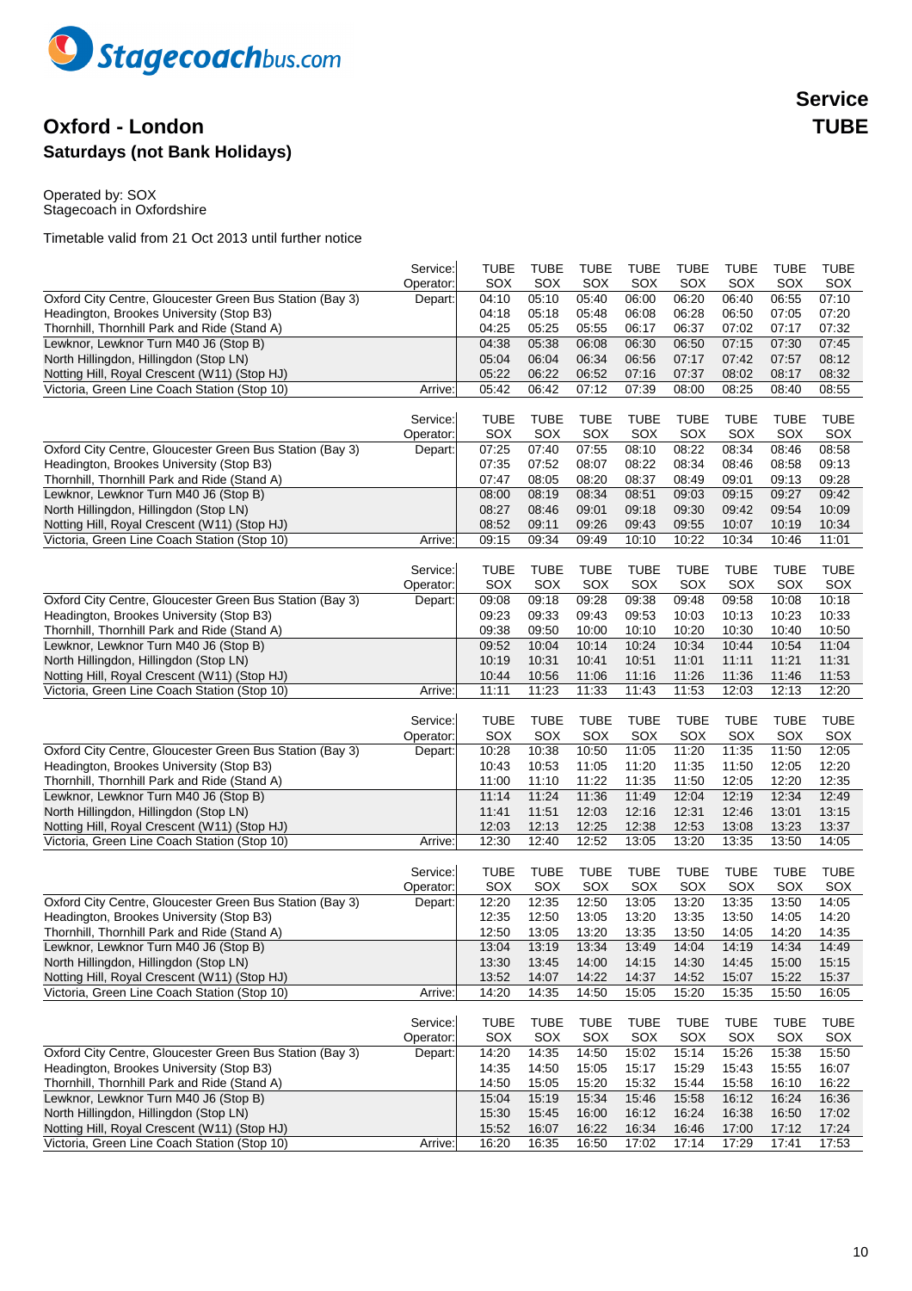

## **Oxford - London TUBE Saturdays (not Bank Holidays)**

Operated by: SOX Stagecoach in Oxfordshire

|                                                                                       | Service:  | TUBE        | <b>TUBE</b>    | <b>TUBE</b> | TUBE        | <b>TUBE</b> | <b>TUBE</b> | TUBE        | <b>TUBE</b> |
|---------------------------------------------------------------------------------------|-----------|-------------|----------------|-------------|-------------|-------------|-------------|-------------|-------------|
|                                                                                       | Operator: | SOX         | SOX            | SOX         | SOX         | SOX         | SOX         | SOX         | SOX         |
| Oxford City Centre, Gloucester Green Bus Station (Bay 3)                              | Depart:   | 04:10       | 05:10          | 05:40       | 06:00       | 06:20       | 06:40       | 06:55       | 07:10       |
| Headington, Brookes University (Stop B3)                                              |           | 04:18       | 05:18          | 05:48       | 06:08       | 06:28       | 06:50       | 07:05       | 07:20       |
| Thornhill, Thornhill Park and Ride (Stand A)                                          |           | 04:25       | 05:25          | 05:55       | 06:17       | 06:37       | 07:02       | 07:17       | 07:32       |
| Lewknor, Lewknor Turn M40 J6 (Stop B)                                                 |           | 04:38       | 05:38          | 06:08       | 06:30       | 06:50       | 07:15       | 07:30       | 07:45       |
| North Hillingdon, Hillingdon (Stop LN)                                                |           | 05:04       | 06:04          | 06:34       | 06:56       | 07:17       | 07:42       | 07:57       | 08:12       |
| Notting Hill, Royal Crescent (W11) (Stop HJ)                                          |           | 05:22       | 06:22          | 06:52       | 07:16       | 07:37       | 08:02       | 08:17       | 08:32       |
| Victoria, Green Line Coach Station (Stop 10)                                          | Arrive:   | 05:42       | 06:42          | 07:12       | 07:39       | 08:00       | 08:25       | 08:40       | 08:55       |
|                                                                                       |           |             |                |             |             |             |             |             |             |
|                                                                                       | Service:  | <b>TUBE</b> | <b>TUBE</b>    | <b>TUBE</b> | <b>TUBE</b> | <b>TUBE</b> | TUBE        | TUBE        | <b>TUBE</b> |
|                                                                                       | Operator: | SOX         | SOX            | SOX         | SOX         | SOX         | SOX         | SOX         | SOX         |
| Oxford City Centre, Gloucester Green Bus Station (Bay 3)                              | Depart:   | 07:25       | 07:40          | 07:55       | 08:10       | 08:22       | 08:34       | 08:46       | 08:58       |
| Headington, Brookes University (Stop B3)                                              |           | 07:35       | 07:52          | 08:07       | 08:22       | 08:34       | 08:46       | 08:58       | 09:13       |
| Thornhill, Thornhill Park and Ride (Stand A)                                          |           | 07:47       | 08:05          | 08:20       | 08:37       | 08:49       | 09:01       | 09:13       | 09:28       |
| Lewknor, Lewknor Turn M40 J6 (Stop B)                                                 |           | 08:00       | 08:19          | 08:34       | 08:51       | 09:03       | 09:15       | 09:27       | 09:42       |
| North Hillingdon, Hillingdon (Stop LN)                                                |           | 08:27       | 08:46          | 09:01       | 09:18       | 09:30       | 09:42       | 09:54       | 10:09       |
| Notting Hill, Royal Crescent (W11) (Stop HJ)                                          |           | 08:52       | 09:11          | 09:26       | 09:43       | 09:55       | 10:07       | 10:19       | 10:34       |
| Victoria, Green Line Coach Station (Stop 10)                                          | Arrive:   | 09:15       | 09:34          | 09:49       | 10:10       | 10:22       | 10:34       | 10:46       | 11:01       |
|                                                                                       |           |             |                |             |             |             |             |             |             |
|                                                                                       | Service:  | <b>TUBE</b> | <b>TUBE</b>    | <b>TUBE</b> | <b>TUBE</b> | <b>TUBE</b> | <b>TUBE</b> | <b>TUBE</b> | <b>TUBE</b> |
|                                                                                       | Operator: | SOX         | SOX            | SOX         | SOX         | SOX         | SOX         | SOX         | SOX         |
| Oxford City Centre, Gloucester Green Bus Station (Bay 3)                              | Depart:   | 09:08       | 09:18          | 09:28       | 09:38       | 09:48       | 09:58       | 10:08       | 10:18       |
| Headington, Brookes University (Stop B3)                                              |           | 09:23       | 09:33          | 09:43       | 09:53       | 10:03       | 10:13       | 10:23       | 10:33       |
| Thornhill, Thornhill Park and Ride (Stand A)                                          |           | 09:38       | 09:50          | 10:00       | 10:10       | 10:20       | 10:30       | 10:40       | 10:50       |
| Lewknor, Lewknor Turn M40 J6 (Stop B)                                                 |           | 09:52       | 10:04          | 10:14       | 10:24       | 10:34       | 10:44       | 10:54       | 11:04       |
| North Hillingdon, Hillingdon (Stop LN)                                                |           | 10:19       | 10:31          | 10:41       | 10:51       | 11:01       | 11:11       | 11:21       | 11:31       |
| Notting Hill, Royal Crescent (W11) (Stop HJ)                                          |           | 10:44       | 10:56          | 11:06       | 11:16       | 11:26       | 11:36       | 11:46       | 11:53       |
| Victoria, Green Line Coach Station (Stop 10)                                          | Arrive:   | 11:11       | 11:23          | 11:33       | 11:43       | 11:53       | 12:03       | 12:13       | 12:20       |
|                                                                                       |           |             |                |             |             |             |             |             |             |
|                                                                                       | Service:  | <b>TUBE</b> | <b>TUBE</b>    | <b>TUBE</b> | <b>TUBE</b> | <b>TUBE</b> | <b>TUBE</b> | <b>TUBE</b> | <b>TUBE</b> |
|                                                                                       | Operator: | SOX         | SOX            | SOX         | SOX         | SOX         | SOX         | SOX         | SOX         |
| Oxford City Centre, Gloucester Green Bus Station (Bay 3)                              | Depart:   | 10:28       | 10:38          | 10:50       | 11:05       | 11:20       | 11:35       | 11:50       | 12:05       |
| Headington, Brookes University (Stop B3)                                              |           | 10:43       | 10:53          | 11:05       | 11:20       | 11:35       | 11:50       | 12:05       | 12:20       |
|                                                                                       |           | 11:00       |                | 11:22       |             | 11:50       | 12:05       | 12:20       | 12:35       |
| Thornhill, Thornhill Park and Ride (Stand A)<br>Lewknor, Lewknor Turn M40 J6 (Stop B) |           | 11:14       | 11:10<br>11:24 | 11:36       | 11:35       | 12:04       | 12:19       | 12:34       | 12:49       |
|                                                                                       |           |             |                |             | 11:49       |             |             |             |             |
| North Hillingdon, Hillingdon (Stop LN)                                                |           | 11:41       | 11:51          | 12:03       | 12:16       | 12:31       | 12:46       | 13:01       | 13:15       |
| Notting Hill, Royal Crescent (W11) (Stop HJ)                                          |           | 12:03       | 12:13          | 12:25       | 12:38       | 12:53       | 13:08       | 13:23       | 13:37       |
| Victoria, Green Line Coach Station (Stop 10)                                          | Arrive:   | 12:30       | 12:40          | 12:52       | 13:05       | 13:20       | 13:35       | 13:50       | 14:05       |
|                                                                                       |           |             |                |             |             |             |             |             |             |
|                                                                                       | Service:  | <b>TUBE</b> | <b>TUBE</b>    | <b>TUBE</b> | TUBE        | <b>TUBE</b> | <b>TUBE</b> | TUBE        | <b>TUBE</b> |
|                                                                                       | Operator: | SOX         | SOX            | SOX         | SOX         | SOX         | SOX         | SOX         | SOX         |
| Oxford City Centre, Gloucester Green Bus Station (Bay 3)                              | Depart:   | 12:20       | 12:35          | 12:50       | 13:05       | 13:20       | 13:35       | 13:50       | 14:05       |
| Headington, Brookes University (Stop B3)                                              |           | 12:35       | 12:50          | 13:05       | 13:20       | 13:35       | 13:50       | 14:05       | 14:20       |
| Thornhill, Thornhill Park and Ride (Stand A)                                          |           | 12:50       | 13:05          | 13:20       | 13:35       | 13:50       | 14:05       | 14:20       | 14:35       |
| Lewknor, Lewknor Turn M40 J6 (Stop B)                                                 |           | 13:04       | 13:19          | 13:34       | 13:49       | 14:04       | 14:19       | 14:34       | 14:49       |
| North Hillingdon, Hillingdon (Stop LN)                                                |           | 13:30       | 13:45          | 14:00       | 14:15       | 14:30       | 14:45       | 15:00       | 15:15       |
| Notting Hill, Royal Crescent (W11) (Stop HJ)                                          |           | 13:52       | 14:07          | 14:22       | 14:37       | 14:52       | 15:07       | 15:22       | 15:37       |
| Victoria, Green Line Coach Station (Stop 10)                                          | Arrive:   | 14:20       | 14:35          | 14:50       | 15:05       | 15:20       | 15:35       | 15:50       | 16:05       |
|                                                                                       |           |             |                |             |             |             |             |             |             |
|                                                                                       | Service:  | <b>TUBE</b> | <b>TUBE</b>    | <b>TUBE</b> | <b>TUBE</b> | <b>TUBE</b> | <b>TUBE</b> | <b>TUBE</b> | <b>TUBE</b> |
|                                                                                       | Operator: | SOX         | SOX            | SOX         | SOX         | SOX         | SOX         | SOX         | SOX         |
| Oxford City Centre, Gloucester Green Bus Station (Bay 3)                              | Depart:   | 14:20       | 14:35          | 14:50       | 15:02       | 15:14       | 15:26       | 15:38       | 15:50       |
| Headington, Brookes University (Stop B3)                                              |           | 14:35       | 14:50          | 15:05       | 15:17       | 15:29       | 15:43       | 15:55       | 16:07       |
| Thornhill, Thornhill Park and Ride (Stand A)                                          |           | 14:50       | 15:05          | 15:20       | 15:32       | 15:44       | 15:58       | 16:10       | 16:22       |
| Lewknor, Lewknor Turn M40 J6 (Stop B)                                                 |           | 15:04       | 15:19          | 15:34       | 15:46       | 15:58       | 16:12       | 16:24       | 16:36       |
| North Hillingdon, Hillingdon (Stop LN)                                                |           | 15:30       | 15:45          | 16:00       | 16:12       | 16:24       | 16:38       | 16:50       | 17:02       |
| Notting Hill, Royal Crescent (W11) (Stop HJ)                                          |           | 15:52       | 16:07          | 16:22       | 16:34       | 16:46       | 17:00       | 17:12       | 17:24       |
| Victoria, Green Line Coach Station (Stop 10)                                          | Arrive:   | 16:20       | 16:35          | 16:50       | 17:02       | 17:14       | 17:29       | 17:41       | 17:53       |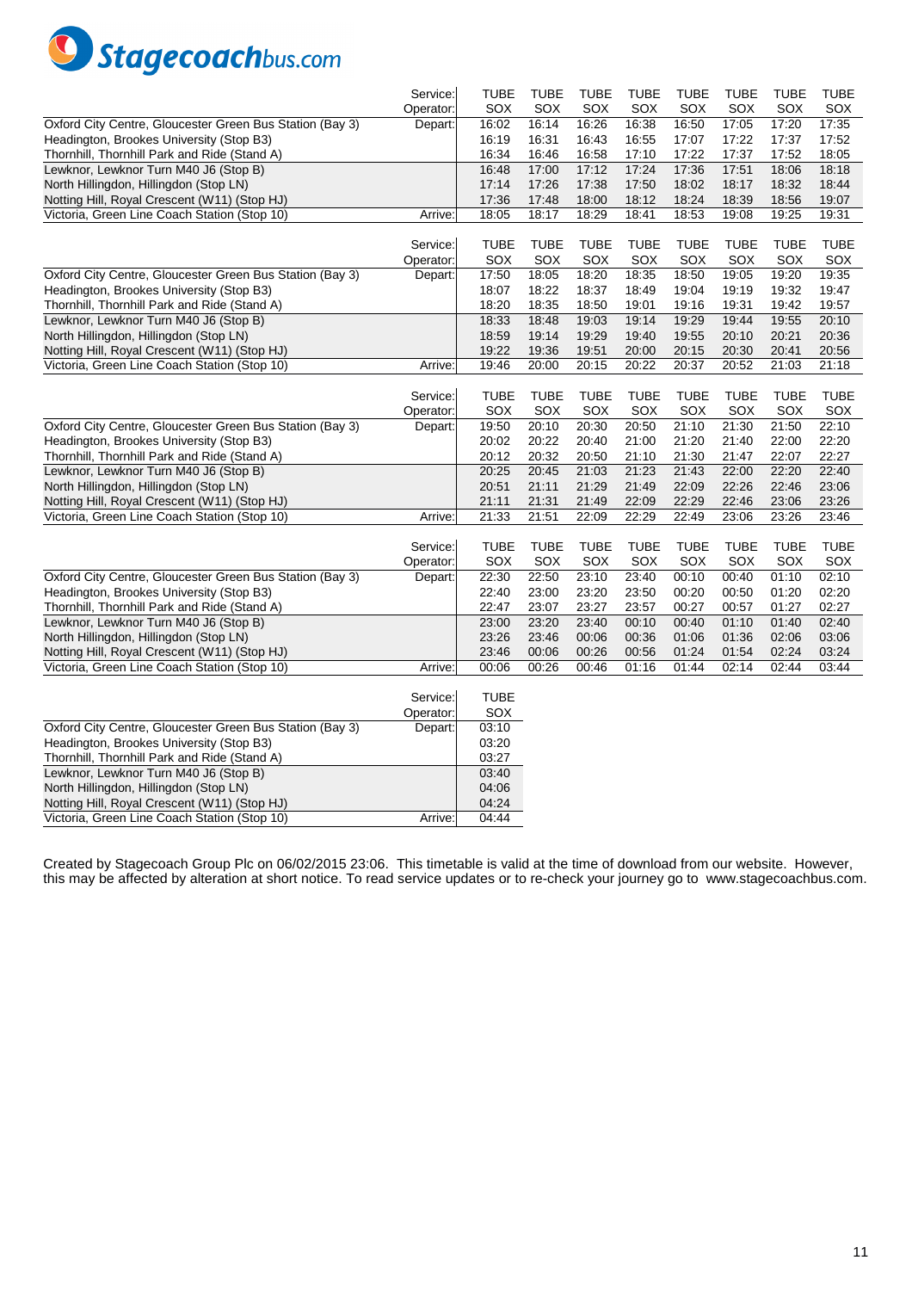

|                                                          | Service:  | TUBE           | <b>TUBE</b>    | <b>TUBE</b>    | <b>TUBE</b>    | <b>TUBE</b>  | <b>TUBE</b>  | <b>TUBE</b>  | <b>TUBE</b>    |
|----------------------------------------------------------|-----------|----------------|----------------|----------------|----------------|--------------|--------------|--------------|----------------|
| Oxford City Centre, Gloucester Green Bus Station (Bay 3) | Operator: | SOX            | SOX            | SOX            | SOX            | SOX<br>16:50 | SOX<br>17:05 | SOX<br>17:20 | SOX            |
| Headington, Brookes University (Stop B3)                 | Depart:   | 16:02<br>16:19 | 16:14<br>16:31 | 16:26<br>16:43 | 16:38          | 17:07        | 17:22        | 17:37        | 17:35<br>17:52 |
| Thornhill, Thornhill Park and Ride (Stand A)             |           | 16:34          | 16:46          | 16:58          | 16:55<br>17:10 | 17:22        | 17:37        | 17:52        | 18:05          |
| Lewknor, Lewknor Turn M40 J6 (Stop B)                    |           | 16:48          | 17:00          | 17:12          | 17:24          | 17:36        | 17:51        | 18:06        | 18:18          |
| North Hillingdon, Hillingdon (Stop LN)                   |           | 17:14          | 17:26          | 17:38          | 17:50          | 18:02        | 18:17        | 18:32        | 18:44          |
| Notting Hill, Royal Crescent (W11) (Stop HJ)             |           | 17:36          | 17:48          | 18:00          | 18:12          | 18:24        | 18:39        | 18:56        | 19:07          |
| Victoria, Green Line Coach Station (Stop 10)             | Arrive:   | 18:05          | 18:17          | 18:29          | 18:41          | 18:53        | 19:08        | 19:25        | 19:31          |
|                                                          |           |                |                |                |                |              |              |              |                |
|                                                          | Service:  | <b>TUBE</b>    | <b>TUBE</b>    | <b>TUBE</b>    | <b>TUBE</b>    | <b>TUBE</b>  | <b>TUBE</b>  | <b>TUBE</b>  | <b>TUBE</b>    |
|                                                          | Operator: | SOX            | SOX            | SOX            | SOX            | SOX          | SOX          | SOX          | SOX            |
| Oxford City Centre, Gloucester Green Bus Station (Bay 3) | Depart:   | 17:50          | 18:05          | 18:20          | 18:35          | 18:50        | 19:05        | 19:20        | 19:35          |
| Headington, Brookes University (Stop B3)                 |           | 18:07          | 18:22          | 18:37          | 18:49          | 19:04        | 19:19        | 19:32        | 19:47          |
| Thornhill, Thornhill Park and Ride (Stand A)             |           | 18:20          | 18:35          | 18:50          | 19:01          | 19:16        | 19:31        | 19:42        | 19:57          |
| Lewknor, Lewknor Turn M40 J6 (Stop B)                    |           | 18:33          | 18:48          | 19:03          | 19:14          | 19:29        | 19:44        | 19:55        | 20:10          |
| North Hillingdon, Hillingdon (Stop LN)                   |           | 18:59          | 19:14          | 19:29          | 19:40          | 19:55        | 20:10        | 20:21        | 20:36          |
| Notting Hill, Royal Crescent (W11) (Stop HJ)             |           | 19:22          | 19:36          | 19:51          | 20:00          | 20:15        | 20:30        | 20:41        | 20:56          |
| Victoria, Green Line Coach Station (Stop 10)             | Arrive:   | 19:46          | 20:00          | 20:15          | 20:22          | 20:37        | 20:52        | 21:03        | 21:18          |
|                                                          |           |                |                |                |                |              |              |              |                |
|                                                          | Service:  | TUBE           | <b>TUBE</b>    | <b>TUBE</b>    | <b>TUBE</b>    | TUBE         | <b>TUBE</b>  | <b>TUBE</b>  | TUBE           |
|                                                          | Operator: | SOX            | SOX            | SOX            | SOX            | SOX          | SOX          | SOX          | SOX            |
| Oxford City Centre, Gloucester Green Bus Station (Bay 3) | Depart:   | 19:50          | 20:10          | 20:30          | 20:50          | 21:10        | 21:30        | 21:50        | 22:10          |
| Headington, Brookes University (Stop B3)                 |           | 20:02          | 20:22          | 20:40          | 21:00          | 21:20        | 21:40        | 22:00        | 22:20          |
| Thornhill, Thornhill Park and Ride (Stand A)             |           | 20:12          | 20:32          | 20:50          | 21:10          | 21:30        | 21:47        | 22:07        | 22:27          |
| Lewknor, Lewknor Turn M40 J6 (Stop B)                    |           | 20:25          | 20:45          | 21:03          | 21:23          | 21:43        | 22:00        | 22:20        | 22:40          |
| North Hillingdon, Hillingdon (Stop LN)                   |           | 20:51          | 21:11          | 21:29          | 21:49          | 22:09        | 22:26        | 22:46        | 23:06          |
| Notting Hill, Royal Crescent (W11) (Stop HJ)             |           | 21:11          | 21:31          | 21:49          | 22:09          | 22:29        | 22:46        | 23:06        | 23:26          |
| Victoria, Green Line Coach Station (Stop 10)             | Arrive:   | 21:33          | 21:51          | 22:09          | 22:29          | 22:49        | 23:06        | 23:26        | 23:46          |
|                                                          |           |                |                |                |                |              |              |              |                |
|                                                          | Service:  | <b>TUBE</b>    | <b>TUBE</b>    | <b>TUBE</b>    | <b>TUBE</b>    | <b>TUBE</b>  | <b>TUBE</b>  | <b>TUBE</b>  | <b>TUBE</b>    |
|                                                          | Operator: | SOX            | SOX            | SOX            | SOX            | SOX          | SOX          | SOX          | SOX            |
| Oxford City Centre, Gloucester Green Bus Station (Bay 3) | Depart:   | 22:30          | 22:50          | 23:10          | 23:40          | 00:10        | 00:40        | 01:10        | 02:10          |
| Headington, Brookes University (Stop B3)                 |           | 22:40          | 23:00          | 23:20          | 23:50          | 00:20        | 00:50        | 01:20        | 02:20          |
| Thornhill, Thornhill Park and Ride (Stand A)             |           | 22:47          | 23:07          | 23:27          | 23:57          | 00:27        | 00:57        | 01:27        | 02:27          |
| Lewknor, Lewknor Turn M40 J6 (Stop B)                    |           | 23:00          | 23:20          | 23:40          | 00:10          | 00:40        | 01:10        | 01:40        | 02:40          |
| North Hillingdon, Hillingdon (Stop LN)                   |           | 23:26          | 23:46          | 00:06          | 00:36          | 01:06        | 01:36        | 02:06        | 03:06          |
| Notting Hill, Royal Crescent (W11) (Stop HJ)             |           | 23:46          | 00:06          | 00:26          | 00:56          | 01:24        | 01:54        | 02:24        | 03:24          |
| Victoria, Green Line Coach Station (Stop 10)             | Arrive:   | 00:06          | 00:26          | 00:46          | 01:16          | 01:44        | 02:14        | 02:44        | 03:44          |
|                                                          |           |                |                |                |                |              |              |              |                |
|                                                          | Service:  | <b>TUBE</b>    |                |                |                |              |              |              |                |
|                                                          | Operator: | SOX            |                |                |                |              |              |              |                |
| Oxford City Centre, Gloucester Green Bus Station (Bay 3) | Depart:   | 03:10          |                |                |                |              |              |              |                |
| Headington, Brookes University (Stop B3)                 |           | 03:20          |                |                |                |              |              |              |                |
| Thornhill, Thornhill Park and Ride (Stand A)             |           | 03:27          |                |                |                |              |              |              |                |
| Lewknor, Lewknor Turn M40 J6 (Stop B)                    |           | 03:40          |                |                |                |              |              |              |                |
| North Hillingdon, Hillingdon (Stop LN)                   |           | 04:06          |                |                |                |              |              |              |                |
| Notting Hill, Royal Crescent (W11) (Stop HJ)             |           | 04:24          |                |                |                |              |              |              |                |
| Victoria, Green Line Coach Station (Stop 10)             | Arrive:   | 04:44          |                |                |                |              |              |              |                |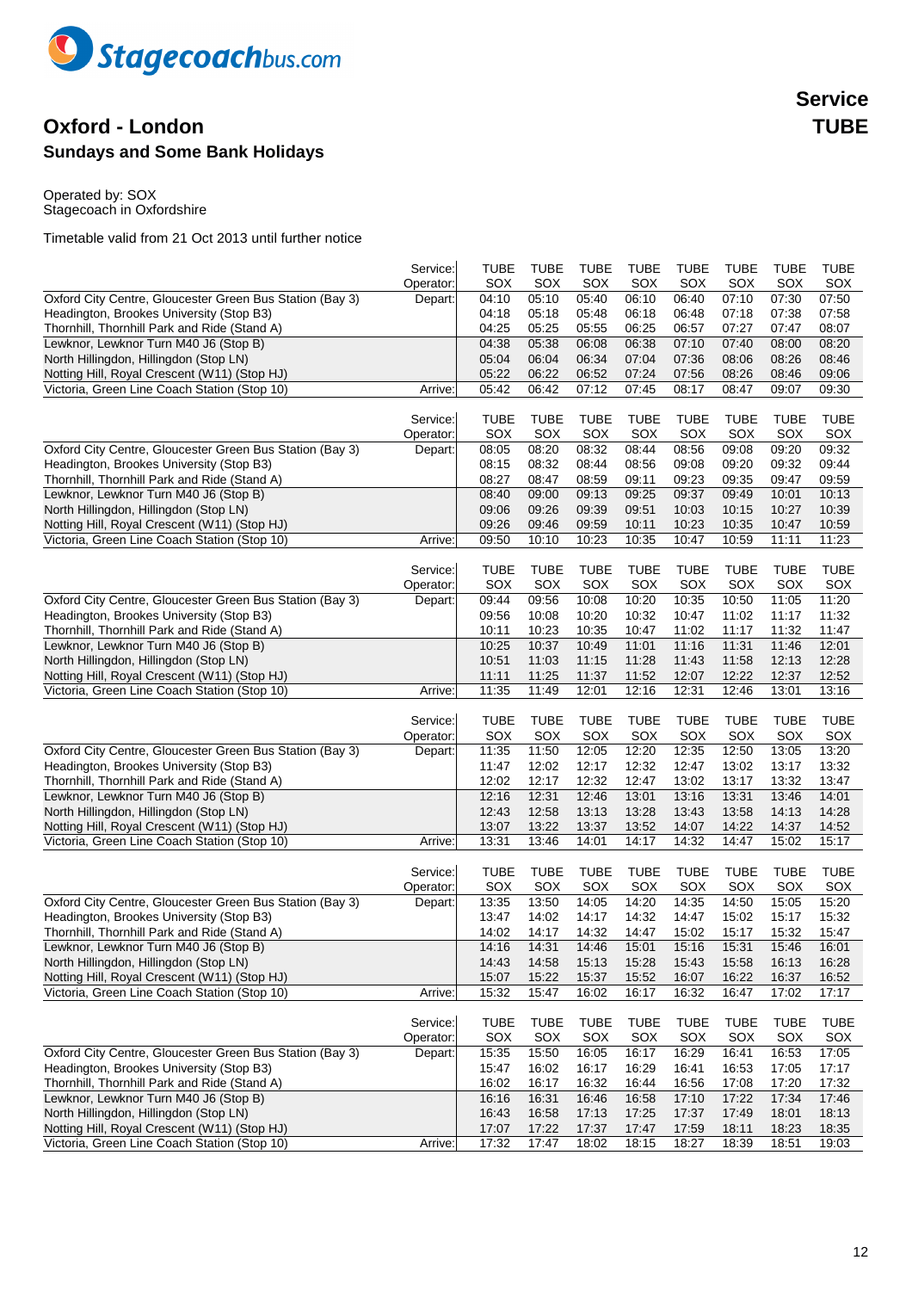

## **Oxford - London TUBE Sundays and Some Bank Holidays**

Operated by: SOX Stagecoach in Oxfordshire

|                                                                                       | Service:              | <b>TUBE</b>        | <b>TUBE</b>        | <b>TUBE</b>        | <b>TUBE</b>    | <b>TUBE</b>        | <b>TUBE</b>        | <b>TUBE</b>    | <b>TUBE</b>    |
|---------------------------------------------------------------------------------------|-----------------------|--------------------|--------------------|--------------------|----------------|--------------------|--------------------|----------------|----------------|
|                                                                                       | Operator:             | SOX                | SOX                | SOX                | SOX            | SOX                | SOX                | SOX            | SOX            |
| Oxford City Centre, Gloucester Green Bus Station (Bay 3)                              | Depart:               | 04:10              | 05:10              | 05:40              | 06:10          | 06:40              | 07:10<br>07:18     | 07:30<br>07:38 | 07:50          |
| Headington, Brookes University (Stop B3)                                              |                       | 04:18<br>04:25     | 05:18<br>05:25     | 05:48              | 06:18          | 06:48<br>06:57     | 07:27              | 07:47          | 07:58<br>08:07 |
| Thornhill, Thornhill Park and Ride (Stand A)<br>Lewknor, Lewknor Turn M40 J6 (Stop B) |                       | 04:38              | 05:38              | 05:55<br>06:08     | 06:25<br>06:38 | 07:10              | 07:40              | 08:00          | 08:20          |
| North Hillingdon, Hillingdon (Stop LN)                                                |                       | 05:04              | 06:04              | 06:34              | 07:04          | 07:36              | 08:06              | 08:26          | 08:46          |
| Notting Hill, Royal Crescent (W11) (Stop HJ)                                          |                       | 05:22              | 06:22              | 06:52              | 07:24          | 07:56              | 08:26              | 08:46          | 09:06          |
| Victoria, Green Line Coach Station (Stop 10)                                          | Arrive:               | 05:42              | 06:42              | 07:12              | 07:45          | 08:17              | 08:47              | 09:07          | 09:30          |
|                                                                                       |                       |                    |                    |                    |                |                    |                    |                |                |
|                                                                                       | Service:              | <b>TUBE</b>        | <b>TUBE</b>        | <b>TUBE</b>        | <b>TUBE</b>    | <b>TUBE</b>        | <b>TUBE</b>        | <b>TUBE</b>    | <b>TUBE</b>    |
|                                                                                       | Operator:             | SOX                | SOX                | SOX                | SOX            | SOX                | SOX                | SOX            | SOX            |
| Oxford City Centre, Gloucester Green Bus Station (Bay 3)                              | Depart:               | 08:05              | 08:20              | 08:32              | 08:44          | 08:56              | 09:08              | 09:20          | 09:32          |
| Headington, Brookes University (Stop B3)                                              |                       | 08:15              | 08:32              | 08:44              | 08:56          | 09:08              | 09:20              | 09:32          | 09:44          |
| Thornhill, Thornhill Park and Ride (Stand A)                                          |                       | 08:27              | 08:47              | 08:59              | 09:11          | 09:23              | 09:35              | 09:47          | 09:59          |
| Lewknor, Lewknor Turn M40 J6 (Stop B)                                                 |                       | 08:40              | 09:00              | 09:13              | 09:25          | 09:37              | 09:49              | 10:01          | 10:13          |
| North Hillingdon, Hillingdon (Stop LN)                                                |                       | 09:06              | 09:26              | 09:39              | 09:51          | 10:03              | 10:15              | 10:27          | 10:39          |
| Notting Hill, Royal Crescent (W11) (Stop HJ)                                          |                       | 09:26              | 09:46              | 09:59              | 10:11          | 10:23              | 10:35              | 10:47          | 10:59          |
| Victoria, Green Line Coach Station (Stop 10)                                          | Arrive:               | 09:50              | 10:10              | 10:23              | 10:35          | 10:47              | 10:59              | 11:11          | 11:23          |
|                                                                                       |                       |                    |                    |                    |                |                    |                    |                |                |
|                                                                                       | Service:              | <b>TUBE</b>        | <b>TUBE</b>        | <b>TUBE</b>        | <b>TUBE</b>    | <b>TUBE</b>        | <b>TUBE</b>        | <b>TUBE</b>    | <b>TUBE</b>    |
|                                                                                       | Operator:             | SOX                | SOX                | SOX                | SOX            | SOX                | SOX                | SOX            | SOX            |
| Oxford City Centre, Gloucester Green Bus Station (Bay 3)                              | Depart:               | 09:44              | 09:56              | 10:08              | 10:20          | 10:35              | 10:50              | 11:05          | 11:20          |
| Headington, Brookes University (Stop B3)                                              |                       | 09:56              | 10:08              | 10:20              | 10:32          | 10:47              | 11:02              | 11:17          | 11:32          |
| Thornhill, Thornhill Park and Ride (Stand A)                                          |                       | 10:11              | 10:23              | 10:35              | 10:47          | 11:02              | 11:17              | 11:32          | 11:47          |
| Lewknor, Lewknor Turn M40 J6 (Stop B)                                                 |                       | 10:25              | 10:37              | 10:49              | 11:01          | 11:16              | 11:31              | 11:46          | 12:01          |
| North Hillingdon, Hillingdon (Stop LN)                                                |                       | 10:51              | 11:03              | 11:15              | 11:28          | 11:43              | 11:58              | 12:13          | 12:28          |
| Notting Hill, Royal Crescent (W11) (Stop HJ)                                          |                       | 11:11              | 11:25              | 11:37              | 11:52          | 12:07              | 12:22              | 12:37          | 12:52          |
| Victoria, Green Line Coach Station (Stop 10)                                          | Arrive:               | 11:35              | 11:49              | 12:01              | 12:16          | 12:31              | 12:46              | 13:01          | 13:16          |
|                                                                                       |                       |                    |                    |                    |                |                    |                    |                |                |
|                                                                                       | Service:              | <b>TUBE</b>        | <b>TUBE</b>        | <b>TUBE</b>        | <b>TUBE</b>    | <b>TUBE</b>        | <b>TUBE</b>        | <b>TUBE</b>    | <b>TUBE</b>    |
|                                                                                       | Operator:             | SOX                | SOX                | SOX                | SOX            | SOX                | SOX                | SOX            | SOX            |
| Oxford City Centre, Gloucester Green Bus Station (Bay 3)                              | Depart:               | 11:35              | 11:50              | 12:05              | 12:20          | 12:35              | 12:50              | 13:05          | 13:20          |
| Headington, Brookes University (Stop B3)                                              |                       | 11:47              | 12:02              | 12:17              | 12:32          | 12:47              | 13:02              | 13:17          | 13:32          |
| Thornhill, Thornhill Park and Ride (Stand A)                                          |                       | 12:02              | 12:17              | 12:32              | 12:47          | 13:02              | 13:17              | 13:32          | 13:47          |
| Lewknor, Lewknor Turn M40 J6 (Stop B)                                                 |                       | 12:16              | 12:31              | 12:46              | 13:01          | 13:16              | 13:31              | 13:46          | 14:01          |
| North Hillingdon, Hillingdon (Stop LN)                                                |                       | 12:43              | 12:58              | 13:13              | 13:28          | 13:43              | 13:58              | 14:13          | 14:28          |
| Notting Hill, Royal Crescent (W11) (Stop HJ)                                          |                       | 13:07              | 13:22              | 13:37              | 13:52          | 14:07              | 14:22              | 14:37          | 14:52          |
| Victoria, Green Line Coach Station (Stop 10)                                          | Arrive:               | 13:31              | 13:46              | 14:01              | 14:17          | 14:32              | 14:47              | 15:02          | 15:17          |
|                                                                                       |                       |                    |                    |                    |                |                    |                    |                | <b>TUBE</b>    |
|                                                                                       | Service:<br>Operator: | <b>TUBE</b><br>SOX | <b>TUBE</b><br>SOX | <b>TUBE</b><br>SOX | TUBE<br>SOX    | <b>TUBE</b><br>SOX | <b>TUBE</b><br>SOX | TUBE<br>SOX    | SOX            |
| Oxford City Centre, Gloucester Green Bus Station (Bay 3)                              |                       | 13:35              | 13:50              | 14:05              | 14:20          | 14:35              | 14:50              | 15:05          | 15:20          |
| Headington, Brookes University (Stop B3)                                              | Depart:               | 13:47              | 14:02              | 14:17              | 14:32          | 14:47              | 15:02              | 15:17          | 15:32          |
| Thornhill, Thornhill Park and Ride (Stand A)                                          |                       | 14:02              | 14:17              | 14:32              | 14:47          | 15:02              | 15:17              | 15:32          | 15:47          |
| Lewknor, Lewknor Turn M40 J6 (Stop B)                                                 |                       | 14:16              | 14:31              | 14:46              | 15:01          | 15:16              | 15:31              | 15:46          | 16:01          |
| North Hillingdon, Hillingdon (Stop LN)                                                |                       | 14:43              | 14:58              | 15:13              | 15:28          | 15:43              | 15:58              | 16:13          | 16:28          |
| Notting Hill, Royal Crescent (W11) (Stop HJ)                                          |                       | 15:07              | 15:22              | 15:37              | 15:52          | 16:07              | 16:22              | 16:37          | 16:52          |
| Victoria, Green Line Coach Station (Stop 10)                                          | Arrive:               | 15:32              | 15:47              | 16:02              | 16:17          | 16:32              | 16:47              | 17:02          | 17:17          |
|                                                                                       |                       |                    |                    |                    |                |                    |                    |                |                |
|                                                                                       | Service:              | <b>TUBE</b>        | <b>TUBE</b>        | <b>TUBE</b>        | <b>TUBE</b>    | <b>TUBE</b>        | <b>TUBE</b>        | <b>TUBE</b>    | <b>TUBE</b>    |
|                                                                                       | Operator:             | SOX                | SOX                | SOX                | SOX            | SOX                | SOX                | SOX            | SOX            |
| Oxford City Centre, Gloucester Green Bus Station (Bay 3)                              | Depart:               | 15:35              | 15:50              | 16:05              | 16:17          | 16:29              | 16:41              | 16:53          | 17:05          |
| Headington, Brookes University (Stop B3)                                              |                       | 15:47              | 16:02              | 16:17              | 16:29          | 16:41              | 16:53              | 17:05          | 17:17          |
| Thornhill, Thornhill Park and Ride (Stand A)                                          |                       | 16:02              | 16:17              | 16:32              | 16:44          | 16:56              | 17:08              | 17:20          | 17:32          |
| Lewknor, Lewknor Turn M40 J6 (Stop B)                                                 |                       | 16:16              | 16:31              | 16:46              | 16:58          | 17:10              | 17:22              | 17:34          | 17:46          |
| North Hillingdon, Hillingdon (Stop LN)                                                |                       | 16:43              | 16:58              | 17:13              | 17:25          | 17:37              | 17:49              | 18:01          | 18:13          |
| Notting Hill, Royal Crescent (W11) (Stop HJ)                                          |                       | 17:07              | 17:22              | 17:37              | 17:47          | 17:59              | 18:11              | 18:23          | 18:35          |
| Victoria, Green Line Coach Station (Stop 10)                                          | Arrive:               | 17:32              | 17:47              | 18:02              | 18:15          | 18:27              | 18:39              | 18:51          | 19:03          |